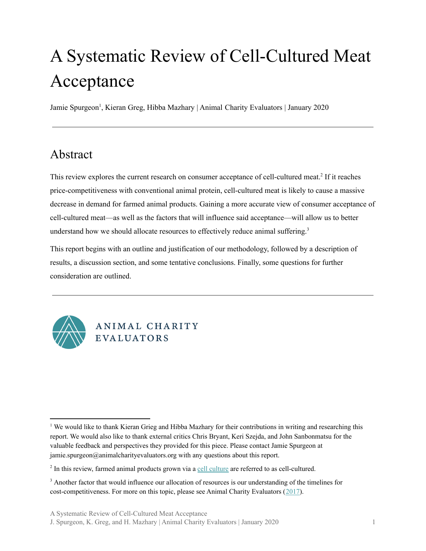Jamie Spurgeon<sup>1</sup>, Kieran Greg, Hibba Mazhary | Animal Charity Evaluators | January 2020

# <span id="page-0-0"></span>Abstract

This review explores the current research on consumer acceptance of cell-cultured meat.<sup>2</sup> If it reaches price-competitiveness with conventional animal protein, cell-cultured meat is likely to cause a massive decrease in demand for farmed animal products. Gaining a more accurate view of consumer acceptance of cell-cultured meat—as well as the factors that will influence said acceptance—will allow us to better understand how we should allocate resources to effectively reduce animal suffering. 3

This report begins with an outline and justification of our methodology, followed by a description of results, a discussion section, and some tentative conclusions. Finally, some questions for further consideration are outlined.



# ANIMAL CHARITY **EVALUATORS**

<sup>&</sup>lt;sup>1</sup> We would like to thank Kieran Grieg and Hibba Mazhary for their contributions in writing and researching this report. We would also like to thank external critics Chris Bryant, Keri Szejda, and John Sanbonmatsu for the valuable feedback and perspectives they provided for this piece. Please contact Jamie Spurgeon at jamie.spurgeon@animalcharityevaluators.org with any questions about this report.

<sup>&</sup>lt;sup>2</sup> In this review, farmed animal products grown via a cell [culture](https://en.wikipedia.org/wiki/Cell_culture) are referred to as cell-cultured.

<sup>&</sup>lt;sup>3</sup> Another factor that would influence our allocation of resources is our understanding of the timelines for cost-competitiveness. For more on this topic, please see Animal Charity Evaluators ([2017\)](https://animalcharityevaluators.org/research/other-topics/cost-competitive-timeline/).

J. Spurgeon, K. Greg, and H. Mazhary | Animal Charity Evaluators | January 2020 1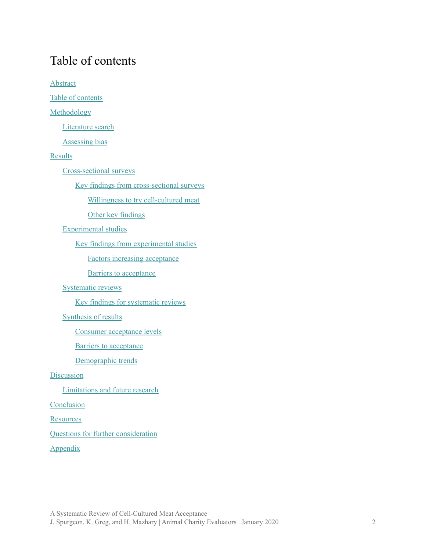# <span id="page-1-0"></span>Table of contents

**[Abstract](#page-0-0)** 

Table of [contents](#page-1-0)

[Methodology](#page-2-0)

[Literature](#page-2-1) search

[Assessing](#page-3-0) bias

#### [Results](#page-7-0)

[Cross-sectional](#page-8-0) surveys

Key findings from [cross-sectional](#page-17-0) surveys

Willingness to try [cell-cultured](#page-17-1) meat

Other key [findings](#page-18-0)

[Experimental](#page-18-1) studies

Key findings from [experimental](#page-33-0) studies

Factors increasing [acceptance](#page-33-1)

Barriers to [acceptance](#page-35-0)

#### [Systematic](#page-35-1) reviews

Key findings for [systematic](#page-37-0) reviews

#### [Synthesis](#page-38-0) of results

Consumer [acceptance](#page-38-1) levels

Barriers to [acceptance](#page-39-0)

[Demographic](#page-39-1) trends

#### **[Discussion](#page-40-0)**

[Limitations](#page-42-0) and future research

**[Conclusion](#page-43-0)** 

**[Resources](#page-44-0)** 

Questions for further [consideration](#page-46-0)

[Appendix](#page-47-0)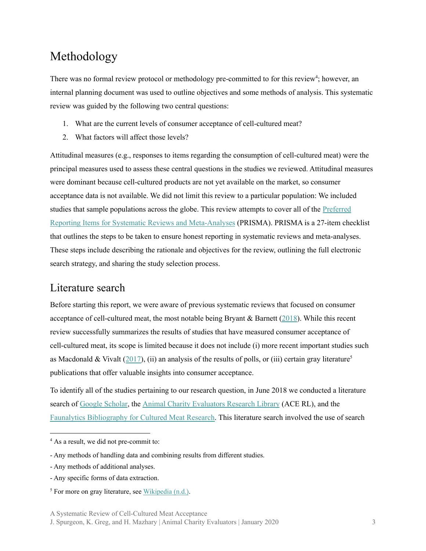# <span id="page-2-0"></span>Methodology

There was no formal review protocol or methodology pre-committed to for this review<sup>4</sup>; however, an internal planning document was used to outline objectives and some methods of analysis. This systematic review was guided by the following two central questions:

- 1. What are the current levels of consumer acceptance of cell-cultured meat?
- 2. What factors will affect those levels?

Attitudinal measures (e.g., responses to items regarding the consumption of cell-cultured meat) were the principal measures used to assess these central questions in the studies we reviewed. Attitudinal measures were dominant because cell-cultured products are not yet available on the market, so consumer acceptance data is not available. We did not limit this review to a particular population: We included studies that sample populations across the globe. This review attempts to cover all of the [Preferred](http://journals.plos.org/plosmedicine/article?id=10.1371/journal.pmed.1000100) Reporting Items for Systematic Reviews and [Meta-Analyses](http://journals.plos.org/plosmedicine/article?id=10.1371/journal.pmed.1000100) (PRISMA). PRISMA is a 27-item checklist that outlines the steps to be taken to ensure honest reporting in systematic reviews and meta-analyses. These steps include describing the rationale and objectives for the review, outlining the full electronic search strategy, and sharing the study selection process.

### <span id="page-2-1"></span>Literature search

Before starting this report, we were aware of previous systematic reviews that focused on consumer acceptance of cell-cultured meat, the most notable being Bryant & Barnett [\(2018](https://www.sciencedirect.com/science/article/abs/pii/S0309174017314602)). While this recent review successfully summarizes the results of studies that have measured consumer acceptance of cell-cultured meat, its scope is limited because it does not include (i) more recent important studies such as Macdonald & Vivalt  $(2017)$  $(2017)$ , (ii) an analysis of the results of polls, or (iii) certain gray literature<sup>5</sup> publications that offer valuable insights into consumer acceptance.

To identify all of the studies pertaining to our research question, in June 2018 we conducted a literature search of Google [Scholar](https://scholar.google.ca/), the Animal Charity [Evaluators](https://animalcharityevaluators.org/researchlibrary/#/) Research Library (ACE RL), and the Faunalytics [Bibliography](https://docs.google.com/spreadsheets/d/1zq54HJJAX9TeENz-Nl0FVTIR98YM1UtgrrB_hrIrrwk/edit?usp=sharing) for Cultured Meat Research. This literature search involved the use of search

<sup>4</sup> As a result, we did not pre-commit to:

<sup>-</sup> Any methods of handling data and combining results from different studies.

<sup>-</sup> Any methods of additional analyses.

<sup>-</sup> Any specific forms of data extraction.

 $<sup>5</sup>$  For more on gray literature, see [Wikipedia](https://en.wikipedia.org/wiki/Grey_literature) (n.d.).</sup>

A Systematic Review of Cell-Cultured Meat Acceptance

J. Spurgeon, K. Greg, and H. Mazhary | Animal Charity Evaluators | January 2020 3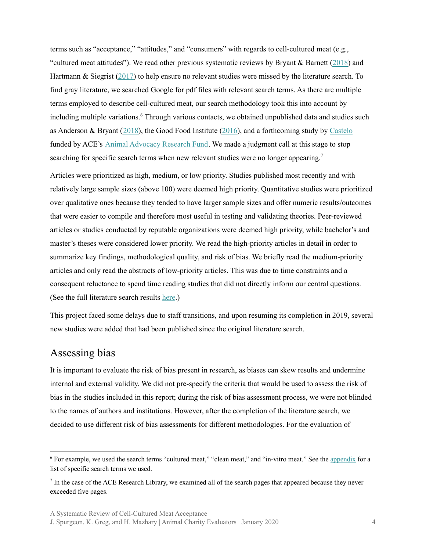terms such as "acceptance," "attitudes," and "consumers" with regards to cell-cultured meat (e.g., "cultured meat attitudes"). We read other previous systematic reviews by Bryant & Barnett [\(2018](https://www.sciencedirect.com/science/article/abs/pii/S0309174017314602)) and Hartmann & Siegrist ([2017\)](https://www.sciencedirect.com/science/article/abs/pii/S0924224416302904) to help ensure no relevant studies were missed by the literature search. To find gray literature, we searched Google for pdf files with relevant search terms. As there are multiple terms employed to describe cell-cultured meat, our search methodology took this into account by including multiple variations.<sup>6</sup> Through various contacts, we obtained unpublished data and studies such as Anderson & Bryant ([2018](https://faunalytics.org/wp-content/uploads/2018/11/Clean-Meat-Acceptance-Primary-Findings.pdf)), the Good Food Institute [\(2016](https://www.gfi.org/the-naming-of-clean-meat)), and a forthcoming study by [Castelo](https://researchfund.animalcharityevaluators.org/funded-projects/improving-consumer-attitudes-towards-cultured-meat/) funded by ACE's Animal [Advocacy](https://researchfund.animalcharityevaluators.org/about/) Research Fund. We made a judgment call at this stage to stop searching for specific search terms when new relevant studies were no longer appearing.<sup>7</sup>

Articles were prioritized as high, medium, or low priority. Studies published most recently and with relatively large sample sizes (above 100) were deemed high priority. Quantitative studies were prioritized over qualitative ones because they tended to have larger sample sizes and offer numeric results/outcomes that were easier to compile and therefore most useful in testing and validating theories. Peer-reviewed articles or studies conducted by reputable organizations were deemed high priority, while bachelor's and master's theses were considered lower priority. We read the high-priority articles in detail in order to summarize key findings, methodological quality, and risk of bias. We briefly read the medium-priority articles and only read the abstracts of low-priority articles. This was due to time constraints and a consequent reluctance to spend time reading studies that did not directly inform our central questions. (See the full literature search results [here](https://docs.google.com/spreadsheets/d/1heme2r8VeNWjKCUiGx68wSqNrSpjrXBkcxuTytY7P8I/edit#gid=0).)

This project faced some delays due to staff transitions, and upon resuming its completion in 2019, several new studies were added that had been published since the original literature search.

### <span id="page-3-0"></span>Assessing bias

It is important to evaluate the risk of bias present in research, as biases can skew results and undermine internal and external validity. We did not pre-specify the criteria that would be used to assess the risk of bias in the studies included in this report; during the risk of bias assessment process, we were not blinded to the names of authors and institutions. However, after the completion of the literature search, we decided to use different risk of bias assessments for different methodologies. For the evaluation of

<sup>6</sup> For example, we used the search terms "cultured meat," "clean meat," and "in-vitro meat." See the [appendix](#page-47-0) for a list of specific search terms we used.

 $<sup>7</sup>$  In the case of the ACE Research Library, we examined all of the search pages that appeared because they never</sup> exceeded five pages.

J. Spurgeon, K. Greg, and H. Mazhary | Animal Charity Evaluators | January 2020 4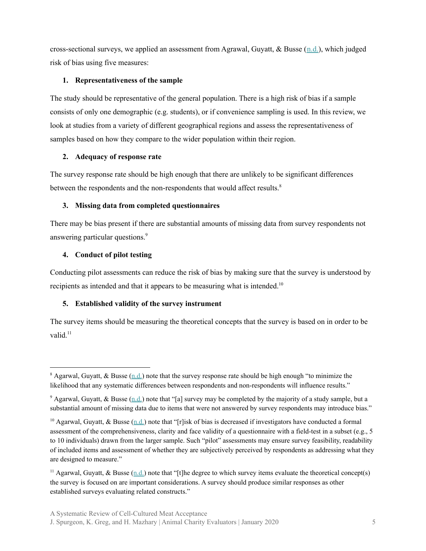cross-sectional surveys, we applied an assessment from Agrawal, Guyatt, & Busse  $(n.d.)$  $(n.d.)$ , which judged risk of bias using five measures:

#### **1. Representativeness of the sample**

The study should be representative of the general population. There is a high risk of bias if a sample consists of only one demographic (e.g. students), or if convenience sampling is used. In this review, we look at studies from a variety of different geographical regions and assess the representativeness of samples based on how they compare to the wider population within their region.

#### **2. Adequacy of response rate**

The survey response rate should be high enough that there are unlikely to be significant differences between the respondents and the non-respondents that would affect results.<sup>8</sup>

#### **3. Missing data from completed questionnaires**

There may be bias present if there are substantial amounts of missing data from survey respondents not answering particular questions. 9

#### **4. Conduct of pilot testing**

Conducting pilot assessments can reduce the risk of bias by making sure that the survey is understood by recipients as intended and that it appears to be measuring what is intended.<sup>10</sup>

#### **5. Established validity of the survey instrument**

The survey items should be measuring the theoretical concepts that the survey is based on in order to be valid.<sup>11</sup>

<sup>&</sup>lt;sup>8</sup> Agarwal, Guyatt, & Busse [\(n.d.](https://www.evidencepartners.com/wp-content/uploads/2017/04/Methods-Commentary-Risk-of-Bias-in-cross-sectional-surveys-of-attitude....pdf)) note that the survey response rate should be high enough "to minimize the likelihood that any systematic differences between respondents and non-respondents will influence results."

<sup>&</sup>lt;sup>9</sup> Agarwal, Guyatt, & Busse [\(n.d.](https://www.evidencepartners.com/wp-content/uploads/2017/04/Methods-Commentary-Risk-of-Bias-in-cross-sectional-surveys-of-attitude....pdf)) note that "[a] survey may be completed by the majority of a study sample, but a substantial amount of missing data due to items that were not answered by survey respondents may introduce bias."

<sup>&</sup>lt;sup>10</sup> Agarwal, Guyatt, & Busse  $(n,d)$  note that "[r]isk of bias is decreased if investigators have conducted a formal assessment of the comprehensiveness, clarity and face validity of a questionnaire with a field-test in a subset (e.g., 5 to 10 individuals) drawn from the larger sample. Such "pilot" assessments may ensure survey feasibility, readability of included items and assessment of whether they are subjectively perceived by respondents as addressing what they are designed to measure."

<sup>&</sup>lt;sup>11</sup> Agarwal, Guyatt, & Busse ([n.d.\)](https://www.evidencepartners.com/wp-content/uploads/2017/04/Methods-Commentary-Risk-of-Bias-in-cross-sectional-surveys-of-attitude....pdf) note that "[t]he degree to which survey items evaluate the theoretical concept(s) the survey is focused on are important considerations. A survey should produce similar responses as other established surveys evaluating related constructs."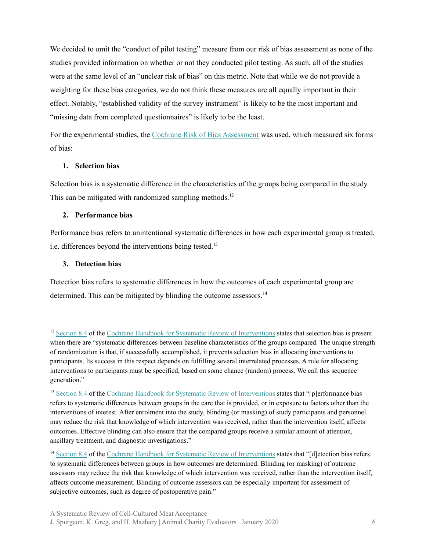We decided to omit the "conduct of pilot testing" measure from our risk of bias assessment as none of the studies provided information on whether or not they conducted pilot testing. As such, all of the studies were at the same level of an "unclear risk of bias" on this metric. Note that while we do not provide a weighting for these bias categories, we do not think these measures are all equally important in their effect. Notably, "established validity of the survey instrument" is likely to be the most important and "missing data from completed questionnaires" is likely to be the least.

For the experimental studies, the Cochrane Risk of Bias [Assessment](https://www.ncbi.nlm.nih.gov/books/NBK132494/bin/appf-fm1.pdf) was used, which measured six forms of bias:

#### **1. Selection bias**

Selection bias is a systematic difference in the characteristics of the groups being compared in the study. This can be mitigated with randomized sampling methods.<sup>12</sup>

#### **2. Performance bias**

Performance bias refers to unintentional systematic differences in how each experimental group is treated, i.e. differences beyond the interventions being tested. 13

#### **3. Detection bias**

Detection bias refers to systematic differences in how the outcomes of each experimental group are determined. This can be mitigated by blinding the outcome assessors. 14

<sup>&</sup>lt;sup>12</sup> [Section](http://handbook-5-1.cochrane.org/chapter_8/8_4_introduction_to_sources_of_bias_in_clinical_trials.htm) 8.4 of the Cochrane Handbook for Systematic Review of [Interventions](http://handbook-5-1.cochrane.org/) states that selection bias is present when there are "systematic differences between baseline characteristics of the groups compared. The unique strength of randomization is that, if successfully accomplished, it prevents selection bias in allocating interventions to participants. Its success in this respect depends on fulfilling several interrelated processes. A rule for allocating interventions to participants must be specified, based on some chance (random) process. We call this sequence generation."

<sup>&</sup>lt;sup>13</sup> [Section](http://handbook-5-1.cochrane.org/chapter_8/8_4_introduction_to_sources_of_bias_in_clinical_trials.htm) 8.4 of the Cochrane Handbook for Systematic Review of [Interventions](http://handbook-5-1.cochrane.org/) states that "[p]erformance bias refers to systematic differences between groups in the care that is provided, or in exposure to factors other than the interventions of interest. After enrolment into the study, blinding (or masking) of study participants and personnel may reduce the risk that knowledge of which intervention was received, rather than the intervention itself, affects outcomes. Effective blinding can also ensure that the compared groups receive a similar amount of attention, ancillary treatment, and diagnostic investigations."

<sup>&</sup>lt;sup>14</sup> [Section](http://handbook-5-1.cochrane.org/chapter_8/8_4_introduction_to_sources_of_bias_in_clinical_trials.htm) 8.4 of the Cochrane Handbook for Systematic Review of [Interventions](http://handbook-5-1.cochrane.org/) states that "[d]etection bias refers to systematic differences between groups in how outcomes are determined. Blinding (or masking) of outcome assessors may reduce the risk that knowledge of which intervention was received, rather than the intervention itself, affects outcome measurement. Blinding of outcome assessors can be especially important for assessment of subjective outcomes, such as degree of postoperative pain."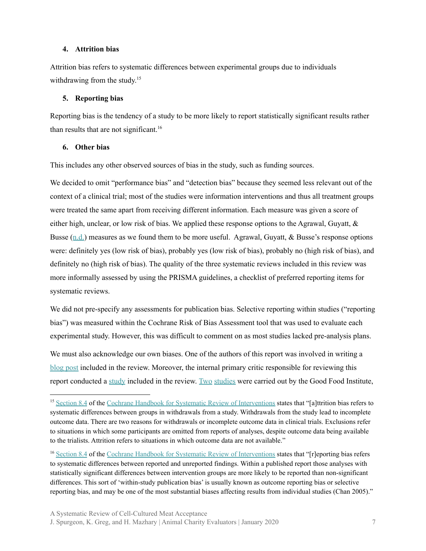#### **4. Attrition bias**

Attrition bias refers to systematic differences between experimental groups due to individuals withdrawing from the study.<sup>15</sup>

#### **5. Reporting bias**

Reporting bias is the tendency of a study to be more likely to report statistically significant results rather than results that are not significant. 16

#### **6. Other bias**

This includes any other observed sources of bias in the study, such as funding sources.

We decided to omit "performance bias" and "detection bias" because they seemed less relevant out of the context of a clinical trial; most of the studies were information interventions and thus all treatment groups were treated the same apart from receiving different information. Each measure was given a score of either high, unclear, or low risk of bias. We applied these response options to the Agrawal, Guyatt, & Busse  $(n.d.)$  $(n.d.)$  $(n.d.)$  measures as we found them to be more useful. Agrawal, Guyatt, & Busse's response options were: definitely yes (low risk of bias), probably yes (low risk of bias), probably no (high risk of bias), and definitely no (high risk of bias). The quality of the three systematic reviews included in this review was more informally assessed by using the PRISMA guidelines, a checklist of preferred reporting items for systematic reviews.

We did not pre-specify any assessments for publication bias. Selective reporting within studies ("reporting") bias") was measured within the Cochrane Risk of Bias Assessment tool that was used to evaluate each experimental study. However, this was difficult to comment on as most studies lacked pre-analysis plans.

We must also acknowledge our own biases. One of the authors of this report was involved in writing a [blog](https://animalcharityevaluators.org/blog/clean-meat-or-cultured-meat-a-randomized-trial-evaluating-the-impact-on-self-reported-purchasing-preferences/) post included in the review. Moreover, the internal primary critic responsible for reviewing this report conducted a [study](https://www.gfi.org/the-naming-of-clean-meat) included in the review. [Two](https://www.gfi.org/the-naming-of-clean-meat) [studies](https://www.gfi.org/images/uploads/2018/09/INN-RPT-Cellular-Agriculture-Nomenclature-2018-0921.pdf) were carried out by the Good Food Institute,

<sup>&</sup>lt;sup>15</sup> [Section](http://handbook-5-1.cochrane.org/chapter_8/8_4_introduction_to_sources_of_bias_in_clinical_trials.htm) 8.4 of the Cochrane Handbook for Systematic Review of [Interventions](http://handbook-5-1.cochrane.org/) states that "[a]ttrition bias refers to systematic differences between groups in withdrawals from a study. Withdrawals from the study lead to incomplete outcome data. There are two reasons for withdrawals or incomplete outcome data in clinical trials. Exclusions refer to situations in which some participants are omitted from reports of analyses, despite outcome data being available to the trialists. Attrition refers to situations in which outcome data are not available."

<sup>16</sup> [Section](http://handbook-5-1.cochrane.org/chapter_8/8_4_introduction_to_sources_of_bias_in_clinical_trials.htm) 8.4 of the Cochrane Handbook for Systematic Review of [Interventions](http://handbook-5-1.cochrane.org/) states that "[r]eporting bias refers to systematic differences between reported and unreported findings. Within a published report those analyses with statistically significant differences between intervention groups are more likely to be reported than non-significant differences. This sort of 'within-study publication bias' is usually known as outcome reporting bias or selective reporting bias, and may be one of the most substantial biases affecting results from individual studies (Chan 2005)."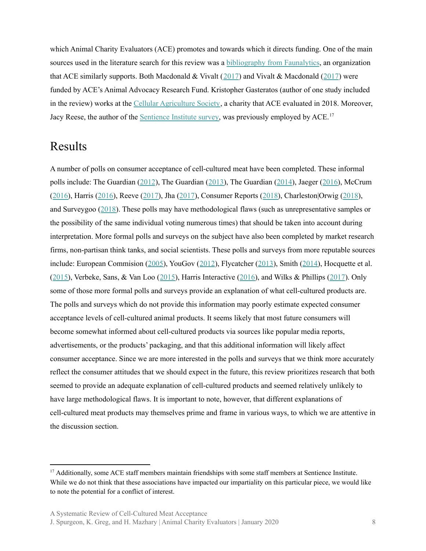which Animal Charity Evaluators (ACE) promotes and towards which it directs funding. One of the main sources used in the literature search for this review was a [bibliography](https://docs.google.com/spreadsheets/d/1zq54HJJAX9TeENz-Nl0FVTIR98YM1UtgrrB_hrIrrwk/edit?usp=sharing) from Faunalytics, an organization that ACE similarly supports. Both Macdonald & Vivalt ([2017](https://osf.io/97pjc/)) and Vivalt & Macdonald (2017) were funded by ACE's Animal Advocacy Research Fund. Kristopher Gasteratos (author of one study included in the review) works at the Cellular [Agriculture](https://www.cellag.org/about-us) Society, a charity that ACE evaluated in 2018. Moreover, Jacy Reese, the author of the **[Sentience](https://www.sentienceinstitute.org/animal-farming-attitudes-survey-2017#methodological-notes) Institute survey**, was previously employed by ACE.<sup>17</sup>

# <span id="page-7-0"></span>Results

A number of polls on consumer acceptance of cell-cultured meat have been completed. These informal polls include: The Guardian [\(2012](https://www.theguardian.com/commentisfree/poll/2012/feb/20/lab-grown-meat-test-tube-burger)), The Guardian ([2013\)](https://www.theguardian.com/science/poll/2013/aug/05/stem-cells-meat-industry), The Guardian [\(2014\)](https://www.theguardian.com/sustainable-business/poll/would-you-eat-in-vitro-lab-meat-save-environment-poll), Jaeger ([2016\)](https://www.attn.com/stories/6565/kill-free-meat-products), McCrum ([2016\)](http://www.mirror.co.uk/news/world-news/scientists-create-first-ever-laboratory-7602107), Harris ([2016\)](https://twitter.com/samharrisorg/status/694260826820087808), Reeve ([2017\)](https://www.the-ies.org/news/poll-alternative-proteins), Jha ([2017\)](http://www.itv.com/news/2017-02-27/scientists-set-sights-on-bringing-lab-grown-meat-to-the-supermarket/), Consumer Reports ([2018\)](https://consumersunion.org/news/consumer-reports-survey-consumers-want-clear-labeling-to-distinguish-lab-grown-meat-from-conventional-meat/), Charleston|Orwig [\(2018](https://www.agrimarketing.com/s/117318)), and Surveygoo ([2018\)](https://www.datasmoothie.com/@surveygoo/nearly-one-in-three-consumers-willing-to-eat-lab-g/). These polls may have methodological flaws (such as unrepresentative samples or the possibility of the same individual voting numerous times) that should be taken into account during interpretation. More formal polls and surveys on the subject have also been completed by market research firms, non-partisan think tanks, and social scientists. These polls and surveys from more reputable sources include: European Commision ([2005\)](http://ec.europa.eu/commfrontoffice/publicopinion/archives/ebs/ebs_225_report_en.pdf), YouGov ([2012](http://cdn.yougov.com/cumulus_uploads/document/ie3yd1pd8v/Copy%20of%20Results%20120305%20Artificial%20meat.pdf)), Flycatcher ([2013\)](https://www.flycatcherpanel.nl/news/item/nwsA1697/media/images/Resultaten_onderzoek_kweekvlees.pdf), Smith ([2014\)](http://www.pewinternet.org/2014/04/17/us-views-of-technology-and-the-future/), Hocquette et al. ([2015\)](https://www.researchgate.net/publication/272424529_Educated_consumers_don%27t_believe_artificial_meat_is_the_solution_to_the_problems_with_the_meat_industry), Verbeke, Sans, & Van Loo ([2015\)](https://www.sciencedirect.com/science/article/pii/S2095311914608844), Harris Interactive ([2016\)](http://harris-interactive.co.uk/wp-content/uploads/sites/7/2017/03/Cultured-Meat-Report-December-2016.pdf), and Wilks & Phillips [\(2017](http://journals.plos.org/plosone/article?id=10.1371/journal.pone.0171904)). Only some of those more formal polls and surveys provide an explanation of what cell-cultured products are. The polls and surveys which do not provide this information may poorly estimate expected consumer acceptance levels of cell-cultured animal products. It seems likely that most future consumers will become somewhat informed about cell-cultured products via sources like popular media reports, advertisements, or the products' packaging, and that this additional information will likely affect consumer acceptance. Since we are more interested in the polls and surveys that we think more accurately reflect the consumer attitudes that we should expect in the future, this review prioritizes research that both seemed to provide an adequate explanation of cell-cultured products and seemed relatively unlikely to have large methodological flaws. It is important to note, however, that different explanations of cell-cultured meat products may themselves prime and frame in various ways, to which we are attentive in the discussion section.

A Systematic Review of Cell-Cultured Meat Acceptance

<sup>&</sup>lt;sup>17</sup> Additionally, some ACE staff members maintain friendships with some staff members at Sentience Institute. While we do not think that these associations have impacted our impartiality on this particular piece, we would like to note the potential for a conflict of interest.

J. Spurgeon, K. Greg, and H. Mazhary | Animal Charity Evaluators | January 2020 8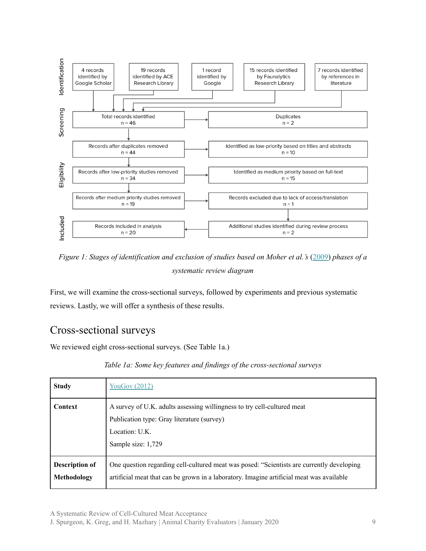

*Figure 1: Stages of identification and exclusion of studies based on Moher et al.'s* ([2009\)](http://annals.org/aim/fullarticle/744664/preferred-reporting-items-systematic-reviews-meta-analyses-prisma-statement) *phases of a systematic review diagram*

First, we will examine the cross-sectional surveys, followed by experiments and previous systematic reviews. Lastly, we will offer a synthesis of these results.

# <span id="page-8-0"></span>Cross-sectional surveys

We reviewed eight cross-sectional surveys. (See Table 1a.)

#### *Table 1a: Some key features and findings of the cross-sectional surveys*

| <b>Study</b>                         | <b>YouGov (2012)</b>                                                                                                                                                                  |
|--------------------------------------|---------------------------------------------------------------------------------------------------------------------------------------------------------------------------------------|
| <b>Context</b>                       | A survey of U.K. adults assessing willingness to try cell-cultured meat<br>Publication type: Gray literature (survey)<br>Location: U.K.<br>Sample size: 1,729                         |
| <b>Description of</b><br>Methodology | One question regarding cell-cultured meat was posed: "Scientists are currently developing<br>artificial meat that can be grown in a laboratory. Imagine artificial meat was available |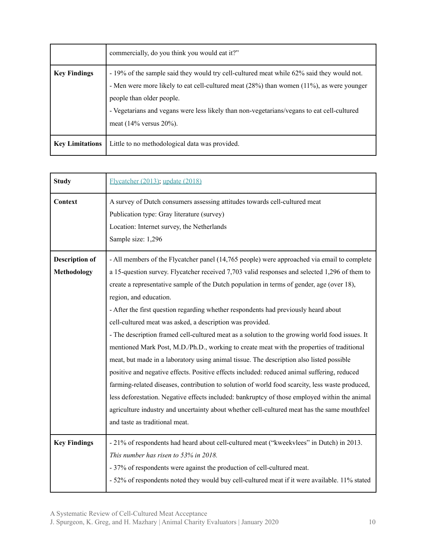|                        | commercially, do you think you would eat it?"                                                                                                                                                                                                                                                                                              |
|------------------------|--------------------------------------------------------------------------------------------------------------------------------------------------------------------------------------------------------------------------------------------------------------------------------------------------------------------------------------------|
| <b>Key Findings</b>    | - 19% of the sample said they would try cell-cultured meat while 62% said they would not.<br>- Men were more likely to eat cell-cultured meat (28%) than women (11%), as were younger<br>people than older people.<br>- Vegetarians and vegans were less likely than non-vegetarians/vegans to eat cell-cultured<br>meat (14% versus 20%). |
| <b>Key Limitations</b> | Little to no methodological data was provided.                                                                                                                                                                                                                                                                                             |

| <b>Study</b>                                | Flycatcher (2013); update (2018)                                                                                                                                                                                                                                                                                                                                                                                                                                                                                                                                                                                                                                                                                                                                                                                                                                                                                                                                                                                                                                                                                                                                                                         |
|---------------------------------------------|----------------------------------------------------------------------------------------------------------------------------------------------------------------------------------------------------------------------------------------------------------------------------------------------------------------------------------------------------------------------------------------------------------------------------------------------------------------------------------------------------------------------------------------------------------------------------------------------------------------------------------------------------------------------------------------------------------------------------------------------------------------------------------------------------------------------------------------------------------------------------------------------------------------------------------------------------------------------------------------------------------------------------------------------------------------------------------------------------------------------------------------------------------------------------------------------------------|
| Context                                     | A survey of Dutch consumers assessing attitudes towards cell-cultured meat<br>Publication type: Gray literature (survey)<br>Location: Internet survey, the Netherlands<br>Sample size: 1,296                                                                                                                                                                                                                                                                                                                                                                                                                                                                                                                                                                                                                                                                                                                                                                                                                                                                                                                                                                                                             |
| <b>Description of</b><br><b>Methodology</b> | - All members of the Flycatcher panel (14,765 people) were approached via email to complete<br>a 15-question survey. Flycatcher received 7,703 valid responses and selected 1,296 of them to<br>create a representative sample of the Dutch population in terms of gender, age (over 18),<br>region, and education.<br>- After the first question regarding whether respondents had previously heard about<br>cell-cultured meat was asked, a description was provided.<br>- The description framed cell-cultured meat as a solution to the growing world food issues. It<br>mentioned Mark Post, M.D./Ph.D., working to create meat with the properties of traditional<br>meat, but made in a laboratory using animal tissue. The description also listed possible<br>positive and negative effects. Positive effects included: reduced animal suffering, reduced<br>farming-related diseases, contribution to solution of world food scarcity, less waste produced,<br>less deforestation. Negative effects included: bankruptcy of those employed within the animal<br>agriculture industry and uncertainty about whether cell-cultured meat has the same mouthfeel<br>and taste as traditional meat. |
| <b>Key Findings</b>                         | - 21% of respondents had heard about cell-cultured meat ("kweekvlees" in Dutch) in 2013.<br>This number has risen to 53% in 2018.<br>- 37% of respondents were against the production of cell-cultured meat.<br>- 52% of respondents noted they would buy cell-cultured meat if it were available. 11% stated                                                                                                                                                                                                                                                                                                                                                                                                                                                                                                                                                                                                                                                                                                                                                                                                                                                                                            |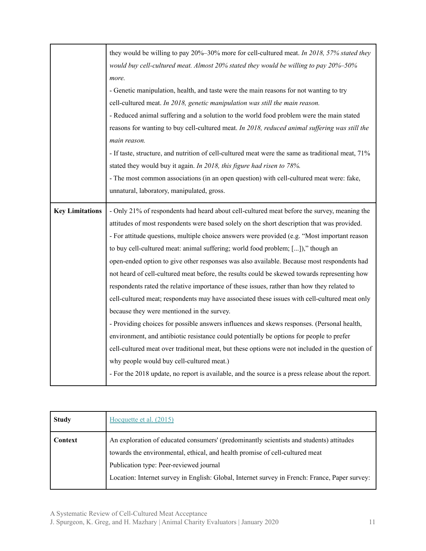|                        | they would be willing to pay 20%–30% more for cell-cultured meat. In 2018, 57% stated they         |
|------------------------|----------------------------------------------------------------------------------------------------|
|                        | would buy cell-cultured meat. Almost 20% stated they would be willing to pay 20%-50%               |
|                        | more.                                                                                              |
|                        | - Genetic manipulation, health, and taste were the main reasons for not wanting to try             |
|                        | cell-cultured meat. In 2018, genetic manipulation was still the main reason.                       |
|                        | - Reduced animal suffering and a solution to the world food problem were the main stated           |
|                        | reasons for wanting to buy cell-cultured meat. In 2018, reduced animal suffering was still the     |
|                        | main reason.                                                                                       |
|                        | - If taste, structure, and nutrition of cell-cultured meat were the same as traditional meat, 71%  |
|                        | stated they would buy it again. In 2018, this figure had risen to 78%.                             |
|                        | - The most common associations (in an open question) with cell-cultured meat were: fake,           |
|                        | unnatural, laboratory, manipulated, gross.                                                         |
| <b>Key Limitations</b> | - Only 21% of respondents had heard about cell-cultured meat before the survey, meaning the        |
|                        |                                                                                                    |
|                        | attitudes of most respondents were based solely on the short description that was provided.        |
|                        | - For attitude questions, multiple choice answers were provided (e.g. "Most important reason       |
|                        | to buy cell-cultured meat: animal suffering; world food problem; [])," though an                   |
|                        | open-ended option to give other responses was also available. Because most respondents had         |
|                        | not heard of cell-cultured meat before, the results could be skewed towards representing how       |
|                        | respondents rated the relative importance of these issues, rather than how they related to         |
|                        | cell-cultured meat; respondents may have associated these issues with cell-cultured meat only      |
|                        | because they were mentioned in the survey.                                                         |
|                        | - Providing choices for possible answers influences and skews responses. (Personal health,         |
|                        | environment, and antibiotic resistance could potentially be options for people to prefer           |
|                        | cell-cultured meat over traditional meat, but these options were not included in the question of   |
|                        | why people would buy cell-cultured meat.)                                                          |
|                        |                                                                                                    |
|                        | - For the 2018 update, no report is available, and the source is a press release about the report. |

| <b>Study</b> | Hocquette et al. (2015)                                                                                                                                                                                                                                                                                              |
|--------------|----------------------------------------------------------------------------------------------------------------------------------------------------------------------------------------------------------------------------------------------------------------------------------------------------------------------|
| Context      | An exploration of educated consumers' (predominantly scientists and students) attitudes<br>towards the environmental, ethical, and health promise of cell-cultured meat<br>Publication type: Peer-reviewed journal<br>Location: Internet survey in English: Global, Internet survey in French: France, Paper survey: |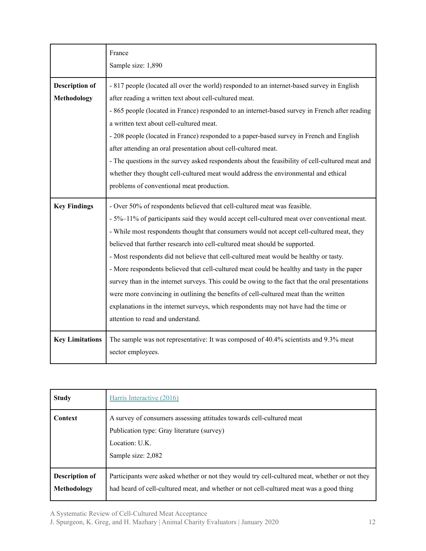|                        | France                                                                                           |
|------------------------|--------------------------------------------------------------------------------------------------|
|                        | Sample size: 1,890                                                                               |
| <b>Description of</b>  | - 817 people (located all over the world) responded to an internet-based survey in English       |
| <b>Methodology</b>     | after reading a written text about cell-cultured meat.                                           |
|                        | - 865 people (located in France) responded to an internet-based survey in French after reading   |
|                        | a written text about cell-cultured meat.                                                         |
|                        | - 208 people (located in France) responded to a paper-based survey in French and English         |
|                        | after attending an oral presentation about cell-cultured meat.                                   |
|                        | - The questions in the survey asked respondents about the feasibility of cell-cultured meat and  |
|                        | whether they thought cell-cultured meat would address the environmental and ethical              |
|                        | problems of conventional meat production.                                                        |
| <b>Key Findings</b>    | - Over 50% of respondents believed that cell-cultured meat was feasible.                         |
|                        | - 5%-11% of participants said they would accept cell-cultured meat over conventional meat.       |
|                        | - While most respondents thought that consumers would not accept cell-cultured meat, they        |
|                        | believed that further research into cell-cultured meat should be supported.                      |
|                        | - Most respondents did not believe that cell-cultured meat would be healthy or tasty.            |
|                        | - More respondents believed that cell-cultured meat could be healthy and tasty in the paper      |
|                        | survey than in the internet surveys. This could be owing to the fact that the oral presentations |
|                        | were more convincing in outlining the benefits of cell-cultured meat than the written            |
|                        | explanations in the internet surveys, which respondents may not have had the time or             |
|                        | attention to read and understand.                                                                |
| <b>Key Limitations</b> | The sample was not representative: It was composed of 40.4% scientists and 9.3% meat             |
|                        | sector employees.                                                                                |

| <b>Study</b>                         | Harris Interactive (2016)                                                                                                                                                                |
|--------------------------------------|------------------------------------------------------------------------------------------------------------------------------------------------------------------------------------------|
| Context                              | A survey of consumers assessing attitudes towards cell-cultured meat<br>Publication type: Gray literature (survey)<br>Location: U.K.<br>Sample size: 2,082                               |
| <b>Description of</b><br>Methodology | Participants were asked whether or not they would try cell-cultured meat, whether or not they<br>had heard of cell-cultured meat, and whether or not cell-cultured meat was a good thing |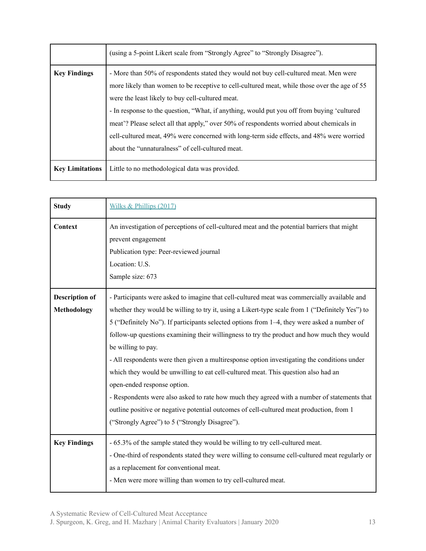|                        | (using a 5-point Likert scale from "Strongly Agree" to "Strongly Disagree").                                                                                                                                                                                                                                                                                                                                                                                                                                                                                                        |
|------------------------|-------------------------------------------------------------------------------------------------------------------------------------------------------------------------------------------------------------------------------------------------------------------------------------------------------------------------------------------------------------------------------------------------------------------------------------------------------------------------------------------------------------------------------------------------------------------------------------|
| <b>Key Findings</b>    | - More than 50% of respondents stated they would not buy cell-cultured meat. Men were<br>more likely than women to be receptive to cell-cultured meat, while those over the age of 55<br>were the least likely to buy cell-cultured meat.<br>- In response to the question, "What, if anything, would put you off from buying 'cultured<br>meat'? Please select all that apply," over 50% of respondents worried about chemicals in<br>cell-cultured meat, 49% were concerned with long-term side effects, and 48% were worried<br>about the "unnaturalness" of cell-cultured meat. |
| <b>Key Limitations</b> | Little to no methodological data was provided.                                                                                                                                                                                                                                                                                                                                                                                                                                                                                                                                      |

| <b>Study</b>                                | Wilks & Phillips (2017)                                                                                                                                                                                                                                                                                                                                                                                                                                                                                                                                                                                                                                                                                                                                                                                                                                                            |
|---------------------------------------------|------------------------------------------------------------------------------------------------------------------------------------------------------------------------------------------------------------------------------------------------------------------------------------------------------------------------------------------------------------------------------------------------------------------------------------------------------------------------------------------------------------------------------------------------------------------------------------------------------------------------------------------------------------------------------------------------------------------------------------------------------------------------------------------------------------------------------------------------------------------------------------|
| Context                                     | An investigation of perceptions of cell-cultured meat and the potential barriers that might<br>prevent engagement<br>Publication type: Peer-reviewed journal<br>Location: U.S.<br>Sample size: 673                                                                                                                                                                                                                                                                                                                                                                                                                                                                                                                                                                                                                                                                                 |
| <b>Description of</b><br><b>Methodology</b> | - Participants were asked to imagine that cell-cultured meat was commercially available and<br>whether they would be willing to try it, using a Likert-type scale from 1 ("Definitely Yes") to<br>5 ("Definitely No"). If participants selected options from 1–4, they were asked a number of<br>follow-up questions examining their willingness to try the product and how much they would<br>be willing to pay.<br>- All respondents were then given a multiresponse option investigating the conditions under<br>which they would be unwilling to eat cell-cultured meat. This question also had an<br>open-ended response option.<br>- Respondents were also asked to rate how much they agreed with a number of statements that<br>outline positive or negative potential outcomes of cell-cultured meat production, from 1<br>("Strongly Agree") to 5 ("Strongly Disagree"). |
| <b>Key Findings</b>                         | - 65.3% of the sample stated they would be willing to try cell-cultured meat.<br>- One-third of respondents stated they were willing to consume cell-cultured meat regularly or<br>as a replacement for conventional meat.<br>- Men were more willing than women to try cell-cultured meat.                                                                                                                                                                                                                                                                                                                                                                                                                                                                                                                                                                                        |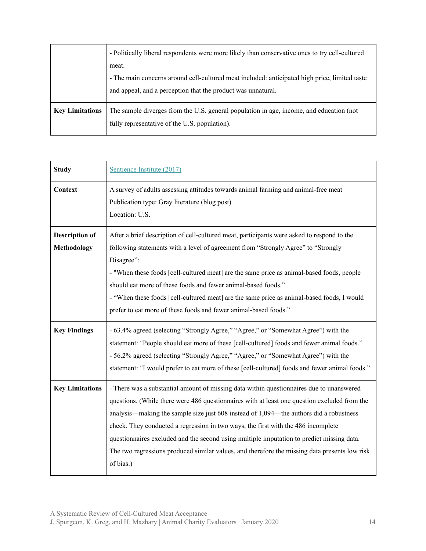|                        | - Politically liberal respondents were more likely than conservative ones to try cell-cultured |
|------------------------|------------------------------------------------------------------------------------------------|
|                        | meat.                                                                                          |
|                        | - The main concerns around cell-cultured meat included: anticipated high price, limited taste  |
|                        | and appeal, and a perception that the product was unnatural.                                   |
|                        |                                                                                                |
| <b>Key Limitations</b> | The sample diverges from the U.S. general population in age, income, and education (not        |
|                        | fully representative of the U.S. population).                                                  |
|                        |                                                                                                |

| <b>Study</b>                                | Sentience Institute (2017)                                                                                                                                                                                                                                                                                                                                                                                                                                                                                                                                                         |
|---------------------------------------------|------------------------------------------------------------------------------------------------------------------------------------------------------------------------------------------------------------------------------------------------------------------------------------------------------------------------------------------------------------------------------------------------------------------------------------------------------------------------------------------------------------------------------------------------------------------------------------|
| Context                                     | A survey of adults assessing attitudes towards animal farming and animal-free meat<br>Publication type: Gray literature (blog post)<br>Location: U.S.                                                                                                                                                                                                                                                                                                                                                                                                                              |
| <b>Description of</b><br><b>Methodology</b> | After a brief description of cell-cultured meat, participants were asked to respond to the<br>following statements with a level of agreement from "Strongly Agree" to "Strongly<br>Disagree":<br>- "When these foods [cell-cultured meat] are the same price as animal-based foods, people<br>should eat more of these foods and fewer animal-based foods."<br>- "When these foods [cell-cultured meat] are the same price as animal-based foods, I would<br>prefer to eat more of these foods and fewer animal-based foods."                                                      |
| <b>Key Findings</b>                         | - 63.4% agreed (selecting "Strongly Agree," "Agree," or "Somewhat Agree") with the<br>statement: "People should eat more of these [cell-cultured] foods and fewer animal foods."<br>- 56.2% agreed (selecting "Strongly Agree," "Agree," or "Somewhat Agree") with the<br>statement: "I would prefer to eat more of these [cell-cultured] foods and fewer animal foods."                                                                                                                                                                                                           |
| <b>Key Limitations</b>                      | - There was a substantial amount of missing data within questionnaires due to unanswered<br>questions. (While there were 486 questionnaires with at least one question excluded from the<br>analysis—making the sample size just 608 instead of 1,094—the authors did a robustness<br>check. They conducted a regression in two ways, the first with the 486 incomplete<br>questionnaires excluded and the second using multiple imputation to predict missing data.<br>The two regressions produced similar values, and therefore the missing data presents low risk<br>of bias.) |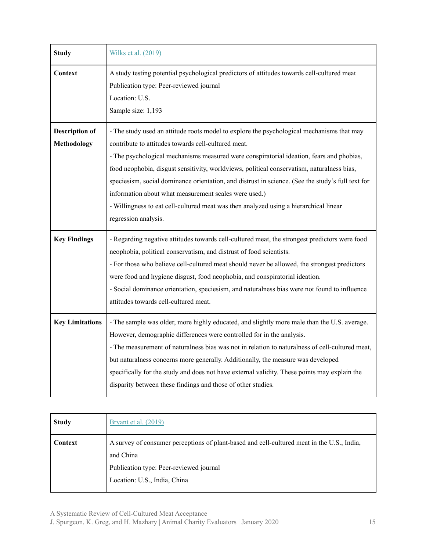| <b>Study</b>                         | Wilks et al. (2019)                                                                                                                                                                                                                                                                                                                                                                                                                                                                                                                                                                                                       |
|--------------------------------------|---------------------------------------------------------------------------------------------------------------------------------------------------------------------------------------------------------------------------------------------------------------------------------------------------------------------------------------------------------------------------------------------------------------------------------------------------------------------------------------------------------------------------------------------------------------------------------------------------------------------------|
| Context                              | A study testing potential psychological predictors of attitudes towards cell-cultured meat<br>Publication type: Peer-reviewed journal<br>Location: U.S.<br>Sample size: 1,193                                                                                                                                                                                                                                                                                                                                                                                                                                             |
| <b>Description of</b><br>Methodology | - The study used an attitude roots model to explore the psychological mechanisms that may<br>contribute to attitudes towards cell-cultured meat.<br>- The psychological mechanisms measured were conspiratorial ideation, fears and phobias,<br>food neophobia, disgust sensitivity, worldviews, political conservatism, naturalness bias,<br>speciesism, social dominance orientation, and distrust in science. (See the study's full text for<br>information about what measurement scales were used.)<br>- Willingness to eat cell-cultured meat was then analyzed using a hierarchical linear<br>regression analysis. |
| <b>Key Findings</b>                  | - Regarding negative attitudes towards cell-cultured meat, the strongest predictors were food<br>neophobia, political conservatism, and distrust of food scientists.<br>- For those who believe cell-cultured meat should never be allowed, the strongest predictors<br>were food and hygiene disgust, food neophobia, and conspiratorial ideation.<br>- Social dominance orientation, speciesism, and naturalness bias were not found to influence<br>attitudes towards cell-cultured meat.                                                                                                                              |
| <b>Key Limitations</b>               | - The sample was older, more highly educated, and slightly more male than the U.S. average.<br>However, demographic differences were controlled for in the analysis.<br>- The measurement of naturalness bias was not in relation to naturalness of cell-cultured meat,<br>but naturalness concerns more generally. Additionally, the measure was developed<br>specifically for the study and does not have external validity. These points may explain the<br>disparity between these findings and those of other studies.                                                                                               |

| <b>Study</b> | <u>Bryant et al. (2019)</u>                                                                                                                                                        |
|--------------|------------------------------------------------------------------------------------------------------------------------------------------------------------------------------------|
| Context      | A survey of consumer perceptions of plant-based and cell-cultured meat in the U.S., India,<br>and China<br>Publication type: Peer-reviewed journal<br>Location: U.S., India, China |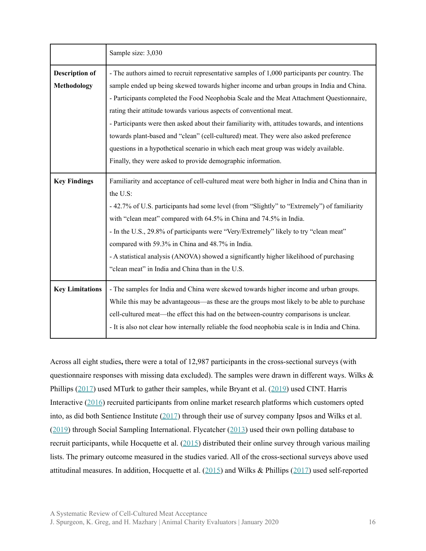|                                             | Sample size: 3,030                                                                                                                                                                                                                                                                                                                                                                                                                                                                                                                                                                                                                                                                                           |
|---------------------------------------------|--------------------------------------------------------------------------------------------------------------------------------------------------------------------------------------------------------------------------------------------------------------------------------------------------------------------------------------------------------------------------------------------------------------------------------------------------------------------------------------------------------------------------------------------------------------------------------------------------------------------------------------------------------------------------------------------------------------|
| <b>Description of</b><br><b>Methodology</b> | - The authors aimed to recruit representative samples of 1,000 participants per country. The<br>sample ended up being skewed towards higher income and urban groups in India and China.<br>- Participants completed the Food Neophobia Scale and the Meat Attachment Questionnaire,<br>rating their attitude towards various aspects of conventional meat.<br>- Participants were then asked about their familiarity with, attitudes towards, and intentions<br>towards plant-based and "clean" (cell-cultured) meat. They were also asked preference<br>questions in a hypothetical scenario in which each meat group was widely available.<br>Finally, they were asked to provide demographic information. |
| <b>Key Findings</b>                         | Familiarity and acceptance of cell-cultured meat were both higher in India and China than in<br>the U.S:<br>- 42.7% of U.S. participants had some level (from "Slightly" to "Extremely") of familiarity<br>with "clean meat" compared with 64.5% in China and 74.5% in India.<br>- In the U.S., 29.8% of participants were "Very/Extremely" likely to try "clean meat"<br>compared with 59.3% in China and 48.7% in India.<br>- A statistical analysis (ANOVA) showed a significantly higher likelihood of purchasing<br>"clean meat" in India and China than in the U.S.                                                                                                                                    |
| <b>Key Limitations</b>                      | - The samples for India and China were skewed towards higher income and urban groups.<br>While this may be advantageous—as these are the groups most likely to be able to purchase<br>cell-cultured meat—the effect this had on the between-country comparisons is unclear.<br>- It is also not clear how internally reliable the food neophobia scale is in India and China.                                                                                                                                                                                                                                                                                                                                |

Across all eight studies**,** there were a total of 12,987 participants in the cross-sectional surveys (with questionnaire responses with missing data excluded). The samples were drawn in different ways. Wilks & Phillips [\(2017\)](https://www.ncbi.nlm.nih.gov/pubmed/28207878) used MTurk to gather their samples, while Bryant et al. ([2019\)](https://www.frontiersin.org/articles/10.3389/fsufs.2019.00011/full) used CINT. Harris Interactive [\(2016](http://harris-interactive.co.uk/wp-content/uploads/sites/7/2017/03/Cultured-Meat-Report-December-2016.pdf)) recruited participants from online market research platforms which customers opted into, as did both Sentience Institute [\(2017](https://www.sentienceinstitute.org/animal-farming-attitudes-survey-2017#methodological-notes)) through their use of survey company Ipsos and Wilks et al. ([2019\)](https://www.ncbi.nlm.nih.gov/pubmed/30731104) through Social Sampling International. Flycatcher ([2013\)](https://www.flycatcherpanel.nl/news/item/nwsA1697/media/images/Resultaten_onderzoek_kweekvlees.pdf) used their own polling database to recruit participants, while Hocquette et al. [\(2015](https://www.researchgate.net/publication/272424529_Educated_consumers_don%27t_believe_artificial_meat_is_the_solution_to_the_problems_with_the_meat_industry)) distributed their online survey through various mailing lists. The primary outcome measured in the studies varied. All of the cross-sectional surveys above used attitudinal measures. In addition, Hocquette et al. ([2015\)](https://www.researchgate.net/publication/272424529_Educated_consumers_don%27t_believe_artificial_meat_is_the_solution_to_the_problems_with_the_meat_industry) and Wilks & Phillips ([2017\)](https://www.ncbi.nlm.nih.gov/pubmed/28207878) used self-reported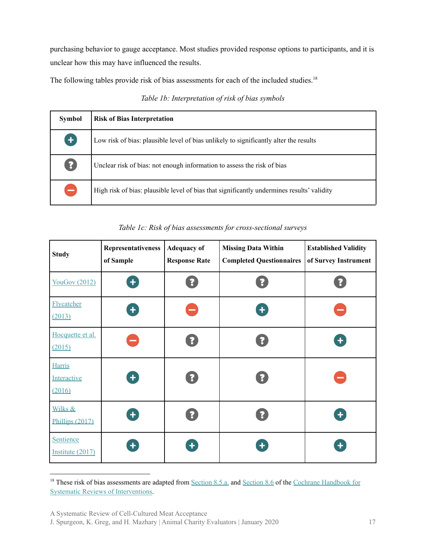purchasing behavior to gauge acceptance. Most studies provided response options to participants, and it is unclear how this may have influenced the results.

The following tables provide risk of bias assessments for each of the included studies.<sup>18</sup>

#### *Table 1b: Interpretation of risk of bias symbols*

| <b>Symbol</b>                                   | <b>Risk of Bias Interpretation</b>                                                         |
|-------------------------------------------------|--------------------------------------------------------------------------------------------|
| $\ddot{}$                                       | Low risk of bias: plausible level of bias unlikely to significantly alter the results      |
| $\left[ \begin{array}{c} 2 \end{array} \right]$ | Unclear risk of bias: not enough information to assess the risk of bias                    |
| -                                               | High risk of bias: plausible level of bias that significantly undermines results' validity |

#### *Table 1c: Risk of bias assessments for cross-sectional surveys*

| <b>Study</b>                           | Representativeness<br>of Sample | <b>Adequacy of</b><br><b>Response Rate</b> | <b>Missing Data Within</b><br><b>Completed Questionnaires</b> | <b>Established Validity</b><br>of Survey Instrument |
|----------------------------------------|---------------------------------|--------------------------------------------|---------------------------------------------------------------|-----------------------------------------------------|
| <b>YouGov (2012)</b>                   | $\ddot{\phantom{1}}$            | $\ddot{\mathbf{?}}$                        |                                                               |                                                     |
| Flycatcher<br>(2013)                   | $\ddot{\phantom{1}}$            |                                            | ٠                                                             |                                                     |
| Hocquette et al.<br>(2015)             |                                 | $\ddot{\cdot}$                             |                                                               | $\ddot{\phantom{1}}$                                |
| <b>Harris</b><br>Interactive<br>(2016) | $\ddot{\phantom{1}}$            | $\ddot{\mathbf{?}}$                        | $\ddot{\mathbf{?}}$                                           | ÷                                                   |
| Wilks &<br>Phillips (2017)             | $\ddot{\phantom{1}}$            | $\ddot{\cdot}$                             |                                                               | $\ddot{\phantom{1}}$                                |
| <b>Sentience</b><br>Institute (2017)   |                                 | $\ddot{\phantom{1}}$                       |                                                               | ٠                                                   |

<sup>&</sup>lt;sup>18</sup> These risk of bias assessments are adapted from [Section](http://handbook-5-1.cochrane.org/chapter_8/8_6_presentation_of_assessments_of_risk_of_bias.htm) 8.5.a. and Section 8.6 of the Cochrane [Handbook](http://handbook-5-1.cochrane.org/) for Systematic Reviews of [Interventions.](http://handbook-5-1.cochrane.org/)

A Systematic Review of Cell-Cultured Meat Acceptance

J. Spurgeon, K. Greg, and H. Mazhary | Animal Charity Evaluators | January 2020 17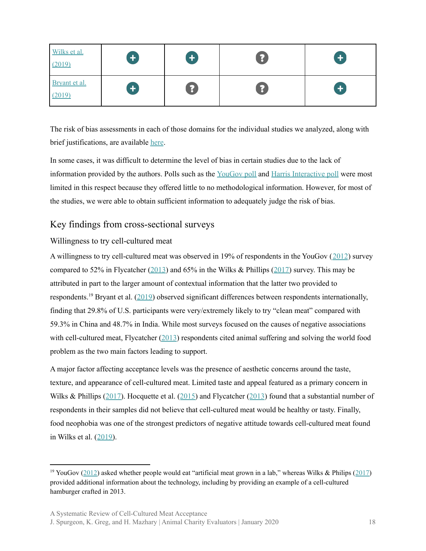| Wilks et al.<br>(2019)  | $\pm$              | $\pm$          | 3 | $\left\vert +\right\vert$ |
|-------------------------|--------------------|----------------|---|---------------------------|
| Bryant et al.<br>(2019) | $\left  + \right $ | $\ddot{\cdot}$ | 3 | $\left  + \right $        |

The risk of bias assessments in each of those domains for the individual studies we analyzed, along with brief justifications, are available [here](https://docs.google.com/spreadsheets/d/1sfhYntqtCkn4RUAyGQXF5A4R9bNyLChWOH27pDcPR0w/edit#gid=0).

In some cases, it was difficult to determine the level of bias in certain studies due to the lack of information provided by the authors. Polls such as the [YouGov](http://cdn.yougov.com/cumulus_uploads/document/ie3yd1pd8v/Copy%20of%20Results%20120305%20Artificial%20meat.pdf) poll and Harris [Interactive](http://harris-interactive.co.uk/wp-content/uploads/sites/7/2017/03/Cultured-Meat-Report-December-2016.pdf) poll were most limited in this respect because they offered little to no methodological information. However, for most of the studies, we were able to obtain sufficient information to adequately judge the risk of bias.

#### <span id="page-17-0"></span>Key findings from cross-sectional surveys

#### <span id="page-17-1"></span>Willingness to try cell-cultured meat

A willingness to try cell-cultured meat was observed in 19% of respondents in the YouGov ([2012](http://cdn.yougov.com/cumulus_uploads/document/ie3yd1pd8v/Copy%20of%20Results%20120305%20Artificial%20meat.pdf)) survey compared to 52% in Flycatcher [\(2013](https://www.flycatcherpanel.nl/news/item/nwsA1697/media/images/Resultaten_onderzoek_kweekvlees.pdf)) and 65% in the Wilks & Phillips ([2017\)](https://www.ncbi.nlm.nih.gov/pubmed/28207878) survey. This may be attributed in part to the larger amount of contextual information that the latter two provided to respondents.<sup>19</sup> Bryant et al.  $(2019)$  $(2019)$  observed significant differences between respondents internationally, finding that 29.8% of U.S. participants were very/extremely likely to try "clean meat" compared with 59.3% in China and 48.7% in India. While most surveys focused on the causes of negative associations with cell-cultured meat, Flycatcher [\(2013](https://www.flycatcherpanel.nl/news/item/nwsA1697/media/images/Resultaten_onderzoek_kweekvlees.pdf)) respondents cited animal suffering and solving the world food problem as the two main factors leading to support.

A major factor affecting acceptance levels was the presence of aesthetic concerns around the taste, texture, and appearance of cell-cultured meat. Limited taste and appeal featured as a primary concern in Wilks & Phillips ([2017\)](https://www.ncbi.nlm.nih.gov/pubmed/28207878). Hocquette et al. ([2015\)](https://www.researchgate.net/publication/272424529_Educated_consumers_don%27t_believe_artificial_meat_is_the_solution_to_the_problems_with_the_meat_industry) and Flycatcher ([2013](https://www.flycatcherpanel.nl/news/item/nwsA1697/media/images/Resultaten_onderzoek_kweekvlees.pdf)) found that a substantial number of respondents in their samples did not believe that cell-cultured meat would be healthy or tasty. Finally, food neophobia was one of the strongest predictors of negative attitude towards cell-cultured meat found in Wilks et al. ([2019\)](https://www.ncbi.nlm.nih.gov/pubmed/30731104).

A Systematic Review of Cell-Cultured Meat Acceptance

<sup>&</sup>lt;sup>19</sup> YouGov ([2012\)](http://cdn.yougov.com/cumulus_uploads/document/ie3yd1pd8v/Copy%20of%20Results%20120305%20Artificial%20meat.pdf) asked whether people would eat "artificial meat grown in a lab," whereas Wilks & Philips ([2017](https://www.ncbi.nlm.nih.gov/pubmed/28207878)) provided additional information about the technology, including by providing an example of a cell-cultured hamburger crafted in 2013.

J. Spurgeon, K. Greg, and H. Mazhary | Animal Charity Evaluators | January 2020 18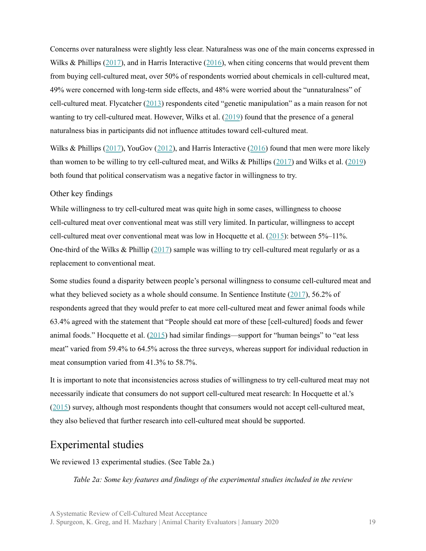Concerns over naturalness were slightly less clear. Naturalness was one of the main concerns expressed in Wilks & Phillips ([2017\)](https://www.ncbi.nlm.nih.gov/pubmed/28207878), and in Harris Interactive ([2016\)](http://harris-interactive.co.uk/wp-content/uploads/sites/7/2017/03/Cultured-Meat-Report-December-2016.pdf), when citing concerns that would prevent them from buying cell-cultured meat, over 50% of respondents worried about chemicals in cell-cultured meat, 49% were concerned with long-term side effects, and 48% were worried about the "unnaturalness" of cell-cultured meat. Flycatcher ([2013\)](https://www.flycatcherpanel.nl/news/item/nwsA1697/media/images/Resultaten_onderzoek_kweekvlees.pdf) respondents cited "genetic manipulation" as a main reason for not wanting to try cell-cultured meat. However, Wilks et al. [\(2019](https://www.ncbi.nlm.nih.gov/pubmed/30731104)) found that the presence of a general naturalness bias in participants did not influence attitudes toward cell-cultured meat.

Wilks & Phillips ([2017\)](https://www.ncbi.nlm.nih.gov/pubmed/28207878), YouGov ([2012](http://cdn.yougov.com/cumulus_uploads/document/ie3yd1pd8v/Copy%20of%20Results%20120305%20Artificial%20meat.pdf)), and Harris Interactive ([2016\)](http://harris-interactive.co.uk/wp-content/uploads/sites/7/2017/03/Cultured-Meat-Report-December-2016.pdf) found that men were more likely than women to be willing to try cell-cultured meat, and Wilks & Phillips ([2017\)](https://www.ncbi.nlm.nih.gov/pubmed/28207878) and Wilks et al. [\(2019](https://www.ncbi.nlm.nih.gov/pubmed/30731104)) both found that political conservatism was a negative factor in willingness to try.

#### <span id="page-18-0"></span>Other key findings

While willingness to try cell-cultured meat was quite high in some cases, willingness to choose cell-cultured meat over conventional meat was still very limited. In particular, willingness to accept cell-cultured meat over conventional meat was low in Hocquette et al.  $(2015)$  $(2015)$ : between 5%–11%. One-third of the Wilks & Phillip ([2017](https://journals.plos.org/plosone/article?id=10.1371/journal.pone.0171904)) sample was willing to try cell-cultured meat regularly or as a replacement to conventional meat.

Some studies found a disparity between people's personal willingness to consume cell-cultured meat and what they believed society as a whole should consume. In Sentience Institute [\(2017](https://www.sentienceinstitute.org/animal-farming-attitudes-survey-2017#methodological-notes)), 56.2% of respondents agreed that they would prefer to eat more cell-cultured meat and fewer animal foods while 63.4% agreed with the statement that "People should eat more of these [cell-cultured] foods and fewer animal foods." Hocquette et al. [\(2015](https://www.researchgate.net/publication/272424529_Educated_consumers_don%27t_believe_artificial_meat_is_the_solution_to_the_problems_with_the_meat_industry)) had similar findings—support for "human beings" to "eat less meat" varied from 59.4% to 64.5% across the three surveys, whereas support for individual reduction in meat consumption varied from 41.3% to 58.7%.

It is important to note that inconsistencies across studies of willingness to try cell-cultured meat may not necessarily indicate that consumers do not support cell-cultured meat research: In Hocquette et al.'s ([2015\)](https://hal.archives-ouvertes.fr/hal-01130532/document) survey, although most respondents thought that consumers would not accept cell-cultured meat, they also believed that further research into cell-cultured meat should be supported.

### <span id="page-18-1"></span>Experimental studies

We reviewed 13 experimental studies. (See Table 2a.)

*Table 2a: Some key features and findings of the experimental studies included in the review*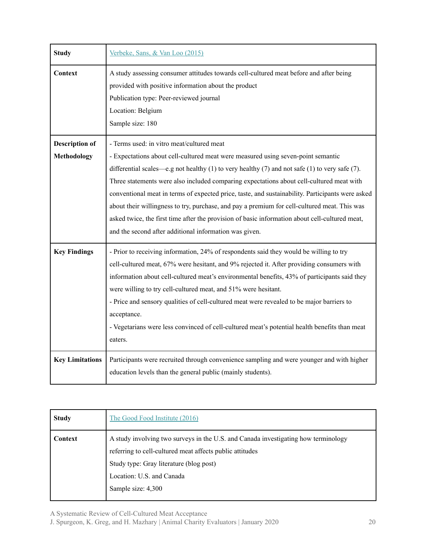| <b>Study</b>                                | Verbeke, Sans, & Van Loo (2015)                                                                                                                                                                                                                                                                                                                                                                                                                                                                                                                                                                                                                                                             |
|---------------------------------------------|---------------------------------------------------------------------------------------------------------------------------------------------------------------------------------------------------------------------------------------------------------------------------------------------------------------------------------------------------------------------------------------------------------------------------------------------------------------------------------------------------------------------------------------------------------------------------------------------------------------------------------------------------------------------------------------------|
| Context                                     | A study assessing consumer attitudes towards cell-cultured meat before and after being<br>provided with positive information about the product<br>Publication type: Peer-reviewed journal<br>Location: Belgium<br>Sample size: 180                                                                                                                                                                                                                                                                                                                                                                                                                                                          |
| <b>Description of</b><br><b>Methodology</b> | - Terms used: in vitro meat/cultured meat<br>- Expectations about cell-cultured meat were measured using seven-point semantic<br>differential scales—e.g not healthy (1) to very healthy (7) and not safe (1) to very safe (7).<br>Three statements were also included comparing expectations about cell-cultured meat with<br>conventional meat in terms of expected price, taste, and sustainability. Participants were asked<br>about their willingness to try, purchase, and pay a premium for cell-cultured meat. This was<br>asked twice, the first time after the provision of basic information about cell-cultured meat,<br>and the second after additional information was given. |
| <b>Key Findings</b>                         | - Prior to receiving information, 24% of respondents said they would be willing to try<br>cell-cultured meat, 67% were hesitant, and 9% rejected it. After providing consumers with<br>information about cell-cultured meat's environmental benefits, 43% of participants said they<br>were willing to try cell-cultured meat, and 51% were hesitant.<br>- Price and sensory qualities of cell-cultured meat were revealed to be major barriers to<br>acceptance.<br>- Vegetarians were less convinced of cell-cultured meat's potential health benefits than meat<br>eaters.                                                                                                               |
| <b>Key Limitations</b>                      | Participants were recruited through convenience sampling and were younger and with higher<br>education levels than the general public (mainly students).                                                                                                                                                                                                                                                                                                                                                                                                                                                                                                                                    |

| <b>Study</b> | The Good Food Institute (2016)                                                                                                                                                                                                               |
|--------------|----------------------------------------------------------------------------------------------------------------------------------------------------------------------------------------------------------------------------------------------|
| Context      | A study involving two surveys in the U.S. and Canada investigating how terminology<br>referring to cell-cultured meat affects public attitudes<br>Study type: Gray literature (blog post)<br>Location: U.S. and Canada<br>Sample size: 4,300 |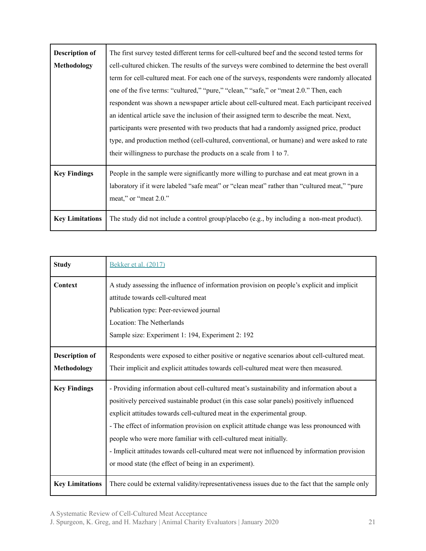| <b>Description of</b><br><b>Methodology</b> | The first survey tested different terms for cell-cultured beef and the second tested terms for<br>cell-cultured chicken. The results of the surveys were combined to determine the best overall<br>term for cell-cultured meat. For each one of the surveys, respondents were randomly allocated<br>one of the five terms: "cultured," "pure," "clean," "safe," or "meat 2.0." Then, each<br>respondent was shown a newspaper article about cell-cultured meat. Each participant received<br>an identical article save the inclusion of their assigned term to describe the meat. Next,<br>participants were presented with two products that had a randomly assigned price, product<br>type, and production method (cell-cultured, conventional, or humane) and were asked to rate<br>their willingness to purchase the products on a scale from 1 to 7. |
|---------------------------------------------|-----------------------------------------------------------------------------------------------------------------------------------------------------------------------------------------------------------------------------------------------------------------------------------------------------------------------------------------------------------------------------------------------------------------------------------------------------------------------------------------------------------------------------------------------------------------------------------------------------------------------------------------------------------------------------------------------------------------------------------------------------------------------------------------------------------------------------------------------------------|
| <b>Key Findings</b>                         | People in the sample were significantly more willing to purchase and eat meat grown in a<br>laboratory if it were labeled "safe meat" or "clean meat" rather than "cultured meat," "pure<br>meat," or "meat 2.0."                                                                                                                                                                                                                                                                                                                                                                                                                                                                                                                                                                                                                                         |
| <b>Key Limitations</b>                      | The study did not include a control group/placebo (e.g., by including a non-meat product).                                                                                                                                                                                                                                                                                                                                                                                                                                                                                                                                                                                                                                                                                                                                                                |

| <b>Study</b>                         | Bekker et al. (2017)                                                                                                                                                                                                                                                                                                                                                                                                                                                                                                                                                                           |
|--------------------------------------|------------------------------------------------------------------------------------------------------------------------------------------------------------------------------------------------------------------------------------------------------------------------------------------------------------------------------------------------------------------------------------------------------------------------------------------------------------------------------------------------------------------------------------------------------------------------------------------------|
| Context                              | A study assessing the influence of information provision on people's explicit and implicit<br>attitude towards cell-cultured meat<br>Publication type: Peer-reviewed journal<br>Location: The Netherlands<br>Sample size: Experiment 1: 194, Experiment 2: 192                                                                                                                                                                                                                                                                                                                                 |
| <b>Description of</b><br>Methodology | Respondents were exposed to either positive or negative scenarios about cell-cultured meat.<br>Their implicit and explicit attitudes towards cell-cultured meat were then measured.                                                                                                                                                                                                                                                                                                                                                                                                            |
| <b>Key Findings</b>                  | - Providing information about cell-cultured meat's sustainability and information about a<br>positively perceived sustainable product (in this case solar panels) positively influenced<br>explicit attitudes towards cell-cultured meat in the experimental group.<br>- The effect of information provision on explicit attitude change was less pronounced with<br>people who were more familiar with cell-cultured meat initially.<br>- Implicit attitudes towards cell-cultured meat were not influenced by information provision<br>or mood state (the effect of being in an experiment). |
| <b>Key Limitations</b>               | There could be external validity/representativeness issues due to the fact that the sample only                                                                                                                                                                                                                                                                                                                                                                                                                                                                                                |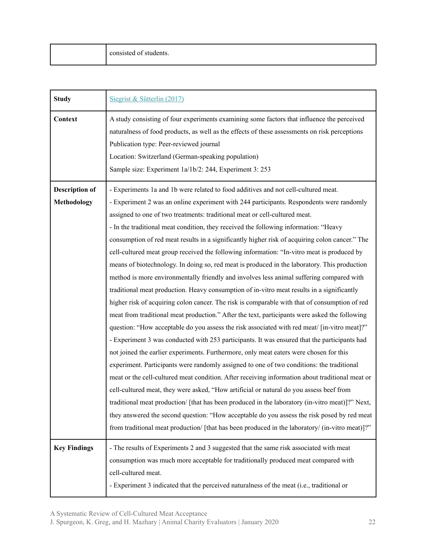| <b>Study</b>          | Siegrist & Sütterlin (2017)                                                                                                                                                                                                                                                                                                                             |
|-----------------------|---------------------------------------------------------------------------------------------------------------------------------------------------------------------------------------------------------------------------------------------------------------------------------------------------------------------------------------------------------|
| Context               | A study consisting of four experiments examining some factors that influence the perceived<br>naturalness of food products, as well as the effects of these assessments on risk perceptions<br>Publication type: Peer-reviewed journal<br>Location: Switzerland (German-speaking population)<br>Sample size: Experiment 1a/1b/2: 244, Experiment 3: 253 |
| <b>Description of</b> | - Experiments 1a and 1b were related to food additives and not cell-cultured meat.                                                                                                                                                                                                                                                                      |
| Methodology           | - Experiment 2 was an online experiment with 244 participants. Respondents were randomly                                                                                                                                                                                                                                                                |
|                       | assigned to one of two treatments: traditional meat or cell-cultured meat.                                                                                                                                                                                                                                                                              |
|                       | - In the traditional meat condition, they received the following information: "Heavy                                                                                                                                                                                                                                                                    |
|                       | consumption of red meat results in a significantly higher risk of acquiring colon cancer." The                                                                                                                                                                                                                                                          |
|                       | cell-cultured meat group received the following information: "In-vitro meat is produced by                                                                                                                                                                                                                                                              |
|                       | means of biotechnology. In doing so, red meat is produced in the laboratory. This production                                                                                                                                                                                                                                                            |
|                       | method is more environmentally friendly and involves less animal suffering compared with                                                                                                                                                                                                                                                                |
|                       | traditional meat production. Heavy consumption of in-vitro meat results in a significantly                                                                                                                                                                                                                                                              |
|                       | higher risk of acquiring colon cancer. The risk is comparable with that of consumption of red                                                                                                                                                                                                                                                           |
|                       | meat from traditional meat production." After the text, participants were asked the following                                                                                                                                                                                                                                                           |
|                       | question: "How acceptable do you assess the risk associated with red meat/ [in-vitro meat]?"                                                                                                                                                                                                                                                            |
|                       | - Experiment 3 was conducted with 253 participants. It was ensured that the participants had                                                                                                                                                                                                                                                            |
|                       | not joined the earlier experiments. Furthermore, only meat eaters were chosen for this                                                                                                                                                                                                                                                                  |
|                       | experiment. Participants were randomly assigned to one of two conditions: the traditional                                                                                                                                                                                                                                                               |
|                       | meat or the cell-cultured meat condition. After receiving information about traditional meat or                                                                                                                                                                                                                                                         |
|                       | cell-cultured meat, they were asked, "How artificial or natural do you assess beef from                                                                                                                                                                                                                                                                 |
|                       | traditional meat production/ [that has been produced in the laboratory (in-vitro meat)]?" Next,                                                                                                                                                                                                                                                         |
|                       | they answered the second question: "How acceptable do you assess the risk posed by red meat                                                                                                                                                                                                                                                             |
|                       | from traditional meat production/ [that has been produced in the laboratory/ (in-vitro meat)]?"                                                                                                                                                                                                                                                         |
| <b>Key Findings</b>   | - The results of Experiments 2 and 3 suggested that the same risk associated with meat                                                                                                                                                                                                                                                                  |
|                       | consumption was much more acceptable for traditionally produced meat compared with                                                                                                                                                                                                                                                                      |
|                       | cell-cultured meat.                                                                                                                                                                                                                                                                                                                                     |
|                       | - Experiment 3 indicated that the perceived naturalness of the meat (i.e., traditional or                                                                                                                                                                                                                                                               |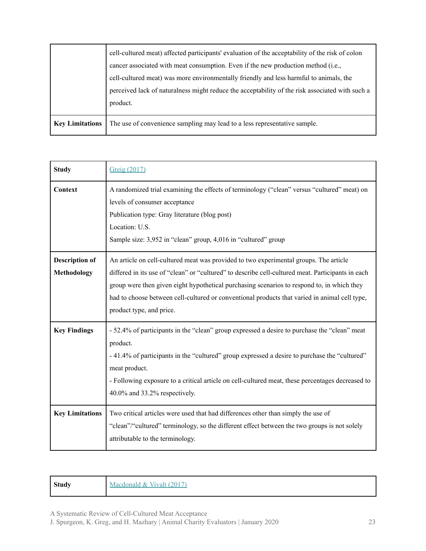|                        | cell-cultured meat) affected participants' evaluation of the acceptability of the risk of colon |
|------------------------|-------------------------------------------------------------------------------------------------|
|                        | cancer associated with meat consumption. Even if the new production method (i.e.,               |
|                        | cell-cultured meat) was more environmentally friendly and less harmful to animals, the          |
|                        | perceived lack of naturalness might reduce the acceptability of the risk associated with such a |
|                        | product.                                                                                        |
| <b>Key Limitations</b> | The use of convenience sampling may lead to a less representative sample.                       |

| <b>Study</b>                                | Greig (2017)                                                                                                                                                                                                                                                                                                                                                                                                          |
|---------------------------------------------|-----------------------------------------------------------------------------------------------------------------------------------------------------------------------------------------------------------------------------------------------------------------------------------------------------------------------------------------------------------------------------------------------------------------------|
| Context                                     | A randomized trial examining the effects of terminology ("clean" versus "cultured" meat) on<br>levels of consumer acceptance<br>Publication type: Gray literature (blog post)<br>Location: U.S.<br>Sample size: 3,952 in "clean" group, 4,016 in "cultured" group                                                                                                                                                     |
| <b>Description of</b><br><b>Methodology</b> | An article on cell-cultured meat was provided to two experimental groups. The article<br>differed in its use of "clean" or "cultured" to describe cell-cultured meat. Participants in each<br>group were then given eight hypothetical purchasing scenarios to respond to, in which they<br>had to choose between cell-cultured or conventional products that varied in animal cell type,<br>product type, and price. |
| <b>Key Findings</b>                         | - 52.4% of participants in the "clean" group expressed a desire to purchase the "clean" meat<br>product.<br>-41.4% of participants in the "cultured" group expressed a desire to purchase the "cultured"<br>meat product.<br>- Following exposure to a critical article on cell-cultured meat, these percentages decreased to<br>$40.0\%$ and $33.2\%$ respectively.                                                  |
| <b>Key Limitations</b>                      | Two critical articles were used that had differences other than simply the use of<br>"clean"/"cultured" terminology, so the different effect between the two groups is not solely<br>attributable to the terminology.                                                                                                                                                                                                 |

**Study** [Macdonald](https://osf.io/bkd5v/#!) & Vivalt (2017)

A Systematic Review of Cell-Cultured Meat Acceptance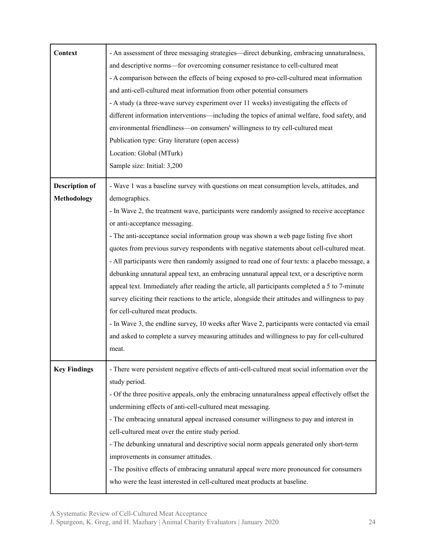| Context                              | - An assessment of three messaging strategies—direct debunking, embracing unnaturalness,<br>and descriptive norms—for overcoming consumer resistance to cell-cultured meat<br>- A comparison between the effects of being exposed to pro-cell-cultured meat information<br>and anti-cell-cultured meat information from other potential consumers<br>- A study (a three-wave survey experiment over 11 weeks) investigating the effects of<br>different information interventions—including the topics of animal welfare, food safety, and<br>environmental friendliness—on consumers' willingness to try cell-cultured meat<br>Publication type: Gray literature (open access)<br>Location: Global (MTurk)<br>Sample size: Initial: 3,200                                                                                                                                                                                                                                                                                                                                           |
|--------------------------------------|--------------------------------------------------------------------------------------------------------------------------------------------------------------------------------------------------------------------------------------------------------------------------------------------------------------------------------------------------------------------------------------------------------------------------------------------------------------------------------------------------------------------------------------------------------------------------------------------------------------------------------------------------------------------------------------------------------------------------------------------------------------------------------------------------------------------------------------------------------------------------------------------------------------------------------------------------------------------------------------------------------------------------------------------------------------------------------------|
| <b>Description of</b><br>Methodology | - Wave 1 was a baseline survey with questions on meat consumption levels, attitudes, and<br>demographics.<br>- In Wave 2, the treatment wave, participants were randomly assigned to receive acceptance<br>or anti-acceptance messaging.<br>- The anti-acceptance social information group was shown a web page listing five short<br>quotes from previous survey respondents with negative statements about cell-cultured meat.<br>- All participants were then randomly assigned to read one of four texts: a placebo message, a<br>debunking unnatural appeal text, an embracing unnatural appeal text, or a descriptive norm<br>appeal text. Immediately after reading the article, all participants completed a 5 to 7-minute<br>survey eliciting their reactions to the article, alongside their attitudes and willingness to pay<br>for cell-cultured meat products.<br>- In Wave 3, the endline survey, 10 weeks after Wave 2, participants were contacted via email<br>and asked to complete a survey measuring attitudes and willingness to pay for cell-cultured<br>meat. |
| <b>Key Findings</b>                  | - There were persistent negative effects of anti-cell-cultured meat social information over the<br>study period.<br>- Of the three positive appeals, only the embracing unnaturalness appeal effectively offset the<br>undermining effects of anti-cell-cultured meat messaging.<br>- The embracing unnatural appeal increased consumer willingness to pay and interest in<br>cell-cultured meat over the entire study period.<br>- The debunking unnatural and descriptive social norm appeals generated only short-term<br>improvements in consumer attitudes.<br>- The positive effects of embracing unnatural appeal were more pronounced for consumers<br>who were the least interested in cell-cultured meat products at baseline.                                                                                                                                                                                                                                                                                                                                             |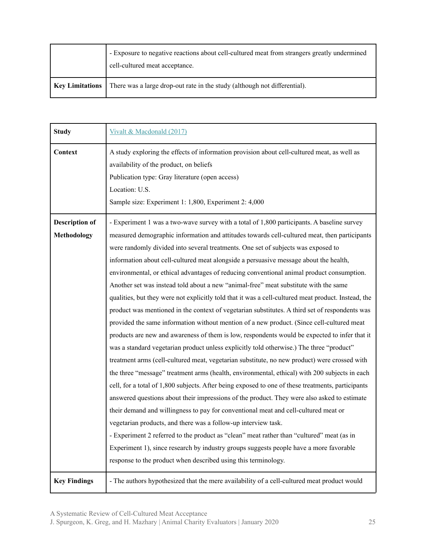|                 | - Exposure to negative reactions about cell-cultured meat from strangers greatly undermined<br>cell-cultured meat acceptance. |
|-----------------|-------------------------------------------------------------------------------------------------------------------------------|
| Key Limitations | There was a large drop-out rate in the study (although not differential).                                                     |

| <b>Study</b>          | Vivalt & Macdonald (2017)                                                                           |
|-----------------------|-----------------------------------------------------------------------------------------------------|
| Context               | A study exploring the effects of information provision about cell-cultured meat, as well as         |
|                       | availability of the product, on beliefs                                                             |
|                       | Publication type: Gray literature (open access)                                                     |
|                       | Location: U.S.                                                                                      |
|                       | Sample size: Experiment 1: 1,800, Experiment 2: 4,000                                               |
| <b>Description of</b> | - Experiment 1 was a two-wave survey with a total of 1,800 participants. A baseline survey          |
| <b>Methodology</b>    | measured demographic information and attitudes towards cell-cultured meat, then participants        |
|                       | were randomly divided into several treatments. One set of subjects was exposed to                   |
|                       | information about cell-cultured meat alongside a persuasive message about the health,               |
|                       | environmental, or ethical advantages of reducing conventional animal product consumption.           |
|                       | Another set was instead told about a new "animal-free" meat substitute with the same                |
|                       | qualities, but they were not explicitly told that it was a cell-cultured meat product. Instead, the |
|                       | product was mentioned in the context of vegetarian substitutes. A third set of respondents was      |
|                       | provided the same information without mention of a new product. (Since cell-cultured meat           |
|                       | products are new and awareness of them is low, respondents would be expected to infer that it       |
|                       | was a standard vegetarian product unless explicitly told otherwise.) The three "product"            |
|                       | treatment arms (cell-cultured meat, vegetarian substitute, no new product) were crossed with        |
|                       | the three "message" treatment arms (health, environmental, ethical) with 200 subjects in each       |
|                       | cell, for a total of 1,800 subjects. After being exposed to one of these treatments, participants   |
|                       | answered questions about their impressions of the product. They were also asked to estimate         |
|                       | their demand and willingness to pay for conventional meat and cell-cultured meat or                 |
|                       | vegetarian products, and there was a follow-up interview task.                                      |
|                       | - Experiment 2 referred to the product as "clean" meat rather than "cultured" meat (as in           |
|                       | Experiment 1), since research by industry groups suggests people have a more favorable              |
|                       | response to the product when described using this terminology.                                      |
| <b>Key Findings</b>   | - The authors hypothesized that the mere availability of a cell-cultured meat product would         |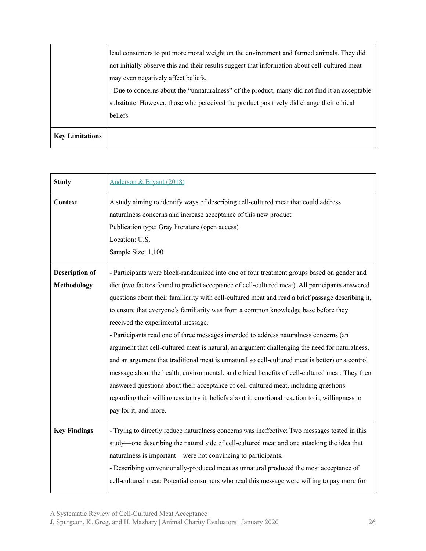| may even negatively affect beliefs.                                                            |
|------------------------------------------------------------------------------------------------|
| - Due to concerns about the "unnaturalness" of the product, many did not find it an acceptable |
| substitute. However, those who perceived the product positively did change their ethical       |
| beliefs.                                                                                       |
|                                                                                                |
|                                                                                                |
|                                                                                                |

| <b>Study</b>                                | Anderson & Bryant (2018)                                                                                                                                                                                                                                                                                                                                                                                                                                                                                                                                                                                                                                                                                                                                                                                                                                                                                                                                                                                                                               |
|---------------------------------------------|--------------------------------------------------------------------------------------------------------------------------------------------------------------------------------------------------------------------------------------------------------------------------------------------------------------------------------------------------------------------------------------------------------------------------------------------------------------------------------------------------------------------------------------------------------------------------------------------------------------------------------------------------------------------------------------------------------------------------------------------------------------------------------------------------------------------------------------------------------------------------------------------------------------------------------------------------------------------------------------------------------------------------------------------------------|
| Context                                     | A study aiming to identify ways of describing cell-cultured meat that could address<br>naturalness concerns and increase acceptance of this new product<br>Publication type: Gray literature (open access)<br>Location: U.S.<br>Sample Size: 1,100                                                                                                                                                                                                                                                                                                                                                                                                                                                                                                                                                                                                                                                                                                                                                                                                     |
| <b>Description of</b><br><b>Methodology</b> | - Participants were block-randomized into one of four treatment groups based on gender and<br>diet (two factors found to predict acceptance of cell-cultured meat). All participants answered<br>questions about their familiarity with cell-cultured meat and read a brief passage describing it,<br>to ensure that everyone's familiarity was from a common knowledge base before they<br>received the experimental message.<br>- Participants read one of three messages intended to address naturalness concerns (an<br>argument that cell-cultured meat is natural, an argument challenging the need for naturalness,<br>and an argument that traditional meat is unnatural so cell-cultured meat is better) or a control<br>message about the health, environmental, and ethical benefits of cell-cultured meat. They then<br>answered questions about their acceptance of cell-cultured meat, including questions<br>regarding their willingness to try it, beliefs about it, emotional reaction to it, willingness to<br>pay for it, and more. |
| <b>Key Findings</b>                         | - Trying to directly reduce naturalness concerns was ineffective: Two messages tested in this<br>study—one describing the natural side of cell-cultured meat and one attacking the idea that<br>naturalness is important—were not convincing to participants.<br>- Describing conventionally-produced meat as unnatural produced the most acceptance of<br>cell-cultured meat: Potential consumers who read this message were willing to pay more for                                                                                                                                                                                                                                                                                                                                                                                                                                                                                                                                                                                                  |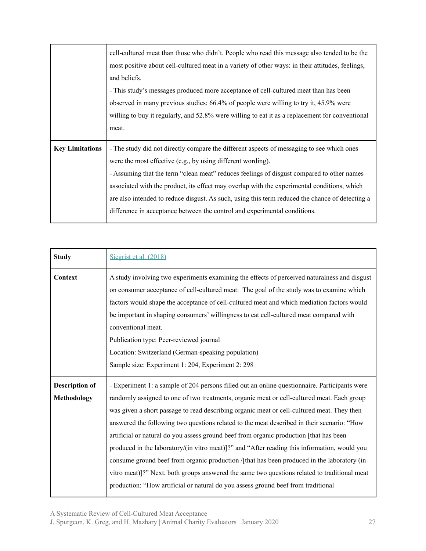|                        | cell-cultured meat than those who didn't. People who read this message also tended to be the<br>most positive about cell-cultured meat in a variety of other ways: in their attitudes, feelings,<br>and beliefs.<br>- This study's messages produced more acceptance of cell-cultured meat than has been<br>observed in many previous studies: 66.4% of people were willing to try it, 45.9% were<br>willing to buy it regularly, and 52.8% were willing to eat it as a replacement for conventional<br>meat. |
|------------------------|---------------------------------------------------------------------------------------------------------------------------------------------------------------------------------------------------------------------------------------------------------------------------------------------------------------------------------------------------------------------------------------------------------------------------------------------------------------------------------------------------------------|
|                        |                                                                                                                                                                                                                                                                                                                                                                                                                                                                                                               |
| <b>Key Limitations</b> | - The study did not directly compare the different aspects of messaging to see which ones<br>were the most effective (e.g., by using different wording).                                                                                                                                                                                                                                                                                                                                                      |
|                        | - Assuming that the term "clean meat" reduces feelings of disgust compared to other names                                                                                                                                                                                                                                                                                                                                                                                                                     |
|                        | associated with the product, its effect may overlap with the experimental conditions, which<br>are also intended to reduce disgust. As such, using this term reduced the chance of detecting a                                                                                                                                                                                                                                                                                                                |
|                        | difference in acceptance between the control and experimental conditions.                                                                                                                                                                                                                                                                                                                                                                                                                                     |

| <b>Study</b>                         | Siegrist et al. (2018)                                                                                                                                                                                                                                                                                                                                                                                                                                                                                                                                                                                                                                                                                                                                                                                                                                               |
|--------------------------------------|----------------------------------------------------------------------------------------------------------------------------------------------------------------------------------------------------------------------------------------------------------------------------------------------------------------------------------------------------------------------------------------------------------------------------------------------------------------------------------------------------------------------------------------------------------------------------------------------------------------------------------------------------------------------------------------------------------------------------------------------------------------------------------------------------------------------------------------------------------------------|
| Context                              | A study involving two experiments examining the effects of perceived naturalness and disgust<br>on consumer acceptance of cell-cultured meat: The goal of the study was to examine which<br>factors would shape the acceptance of cell-cultured meat and which mediation factors would<br>be important in shaping consumers' willingness to eat cell-cultured meat compared with<br>conventional meat.<br>Publication type: Peer-reviewed journal<br>Location: Switzerland (German-speaking population)<br>Sample size: Experiment 1: 204, Experiment 2: 298                                                                                                                                                                                                                                                                                                         |
| <b>Description of</b><br>Methodology | - Experiment 1: a sample of 204 persons filled out an online questionnaire. Participants were<br>randomly assigned to one of two treatments, organic meat or cell-cultured meat. Each group<br>was given a short passage to read describing organic meat or cell-cultured meat. They then<br>answered the following two questions related to the meat described in their scenario: "How<br>artificial or natural do you assess ground beef from organic production [that has been<br>produced in the laboratory/(in vitro meat)]?" and "After reading this information, would you<br>consume ground beef from organic production /[that has been produced in the laboratory (in<br>vitro meat)]?" Next, both groups answered the same two questions related to traditional meat<br>production: "How artificial or natural do you assess ground beef from traditional |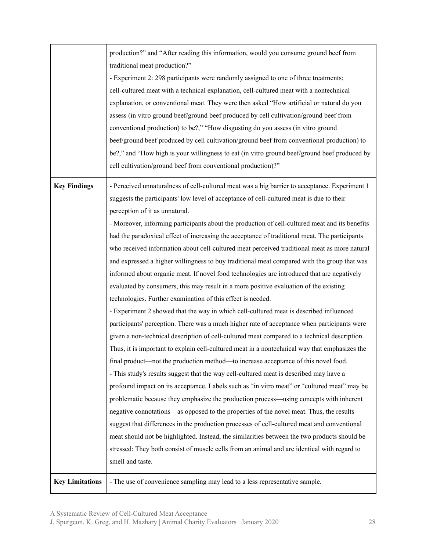|                        | production?" and "After reading this information, would you consume ground beef from           |
|------------------------|------------------------------------------------------------------------------------------------|
|                        | traditional meat production?"                                                                  |
|                        | - Experiment 2: 298 participants were randomly assigned to one of three treatments:            |
|                        | cell-cultured meat with a technical explanation, cell-cultured meat with a nontechnical        |
|                        | explanation, or conventional meat. They were then asked "How artificial or natural do you      |
|                        | assess (in vitro ground beef/ground beef produced by cell cultivation/ground beef from         |
|                        | conventional production) to be?," "How disgusting do you assess (in vitro ground               |
|                        | beef/ground beef produced by cell cultivation/ground beef from conventional production) to     |
|                        | be?," and "How high is your willingness to eat (in vitro ground beef/ground beef produced by   |
|                        | cell cultivation/ground beef from conventional production)?"                                   |
| <b>Key Findings</b>    | - Perceived unnaturalness of cell-cultured meat was a big barrier to acceptance. Experiment 1  |
|                        | suggests the participants' low level of acceptance of cell-cultured meat is due to their       |
|                        | perception of it as unnatural.                                                                 |
|                        | - Moreover, informing participants about the production of cell-cultured meat and its benefits |
|                        | had the paradoxical effect of increasing the acceptance of traditional meat. The participants  |
|                        | who received information about cell-cultured meat perceived traditional meat as more natural   |
|                        | and expressed a higher willingness to buy traditional meat compared with the group that was    |
|                        | informed about organic meat. If novel food technologies are introduced that are negatively     |
|                        | evaluated by consumers, this may result in a more positive evaluation of the existing          |
|                        | technologies. Further examination of this effect is needed.                                    |
|                        | - Experiment 2 showed that the way in which cell-cultured meat is described influenced         |
|                        | participants' perception. There was a much higher rate of acceptance when participants were    |
|                        | given a non-technical description of cell-cultured meat compared to a technical description.   |
|                        | Thus, it is important to explain cell-cultured meat in a nontechnical way that emphasizes the  |
|                        | final product—not the production method—to increase acceptance of this novel food.             |
|                        | - This study's results suggest that the way cell-cultured meat is described may have a         |
|                        | profound impact on its acceptance. Labels such as "in vitro meat" or "cultured meat" may be    |
|                        | problematic because they emphasize the production process—using concepts with inherent         |
|                        | negative connotations—as opposed to the properties of the novel meat. Thus, the results        |
|                        | suggest that differences in the production processes of cell-cultured meat and conventional    |
|                        | meat should not be highlighted. Instead, the similarities between the two products should be   |
|                        | stressed: They both consist of muscle cells from an animal and are identical with regard to    |
|                        | smell and taste.                                                                               |
|                        |                                                                                                |
| <b>Key Limitations</b> | - The use of convenience sampling may lead to a less representative sample.                    |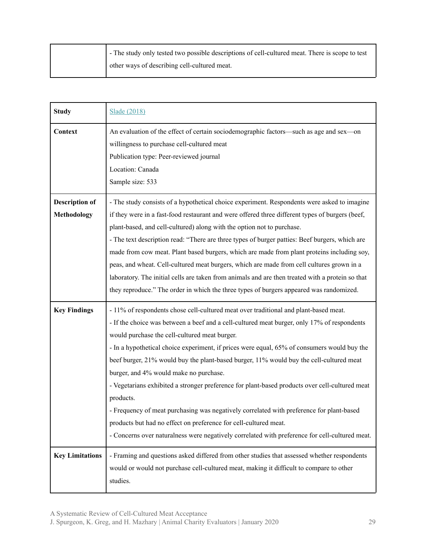| - The study only tested two possible descriptions of cell-cultured meat. There is scope to test |
|-------------------------------------------------------------------------------------------------|
| other ways of describing cell-cultured meat.                                                    |

| <b>Study</b>                                | <b>Slade (2018)</b>                                                                                                                                                                                                                                                                                                                                                                                                                                                                                                                                                                                                                                                                                                                                                                                                                                       |
|---------------------------------------------|-----------------------------------------------------------------------------------------------------------------------------------------------------------------------------------------------------------------------------------------------------------------------------------------------------------------------------------------------------------------------------------------------------------------------------------------------------------------------------------------------------------------------------------------------------------------------------------------------------------------------------------------------------------------------------------------------------------------------------------------------------------------------------------------------------------------------------------------------------------|
| Context                                     | An evaluation of the effect of certain sociodemographic factors—such as age and sex—on<br>willingness to purchase cell-cultured meat<br>Publication type: Peer-reviewed journal<br>Location: Canada<br>Sample size: 533                                                                                                                                                                                                                                                                                                                                                                                                                                                                                                                                                                                                                                   |
| <b>Description of</b><br><b>Methodology</b> | - The study consists of a hypothetical choice experiment. Respondents were asked to imagine<br>if they were in a fast-food restaurant and were offered three different types of burgers (beef,<br>plant-based, and cell-cultured) along with the option not to purchase.<br>- The text description read: "There are three types of burger patties: Beef burgers, which are<br>made from cow meat. Plant based burgers, which are made from plant proteins including soy,<br>peas, and wheat. Cell-cultured meat burgers, which are made from cell cultures grown in a<br>laboratory. The initial cells are taken from animals and are then treated with a protein so that<br>they reproduce." The order in which the three types of burgers appeared was randomized.                                                                                      |
| <b>Key Findings</b>                         | - 11% of respondents chose cell-cultured meat over traditional and plant-based meat.<br>- If the choice was between a beef and a cell-cultured meat burger, only 17% of respondents<br>would purchase the cell-cultured meat burger.<br>- In a hypothetical choice experiment, if prices were equal, 65% of consumers would buy the<br>beef burger, 21% would buy the plant-based burger, 11% would buy the cell-cultured meat<br>burger, and 4% would make no purchase.<br>- Vegetarians exhibited a stronger preference for plant-based products over cell-cultured meat<br>products.<br>- Frequency of meat purchasing was negatively correlated with preference for plant-based<br>products but had no effect on preference for cell-cultured meat.<br>- Concerns over naturalness were negatively correlated with preference for cell-cultured meat. |
| <b>Key Limitations</b>                      | - Framing and questions asked differed from other studies that assessed whether respondents<br>would or would not purchase cell-cultured meat, making it difficult to compare to other<br>studies.                                                                                                                                                                                                                                                                                                                                                                                                                                                                                                                                                                                                                                                        |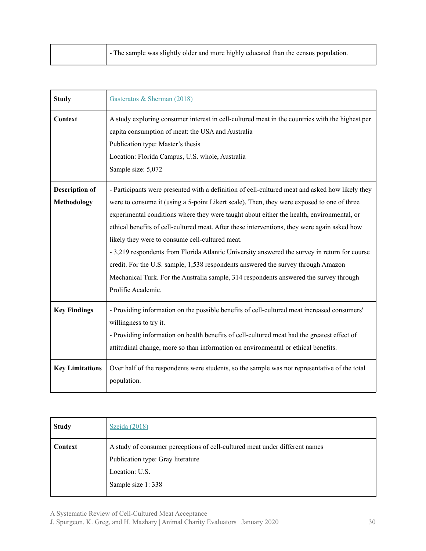|  | - The sample was slightly older and more highly educated than the census population. |
|--|--------------------------------------------------------------------------------------|
|--|--------------------------------------------------------------------------------------|

| <b>Study</b>                         | Gasteratos & Sherman (2018)                                                                                                                                                                                                                                                                                                                                                                                                                                                                                                                                                                                                                                                                                                                         |
|--------------------------------------|-----------------------------------------------------------------------------------------------------------------------------------------------------------------------------------------------------------------------------------------------------------------------------------------------------------------------------------------------------------------------------------------------------------------------------------------------------------------------------------------------------------------------------------------------------------------------------------------------------------------------------------------------------------------------------------------------------------------------------------------------------|
| Context                              | A study exploring consumer interest in cell-cultured meat in the countries with the highest per<br>capita consumption of meat: the USA and Australia<br>Publication type: Master's thesis<br>Location: Florida Campus, U.S. whole, Australia<br>Sample size: 5,072                                                                                                                                                                                                                                                                                                                                                                                                                                                                                  |
| <b>Description of</b><br>Methodology | - Participants were presented with a definition of cell-cultured meat and asked how likely they<br>were to consume it (using a 5-point Likert scale). Then, they were exposed to one of three<br>experimental conditions where they were taught about either the health, environmental, or<br>ethical benefits of cell-cultured meat. After these interventions, they were again asked how<br>likely they were to consume cell-cultured meat.<br>- 3,219 respondents from Florida Atlantic University answered the survey in return for course<br>credit. For the U.S. sample, 1,538 respondents answered the survey through Amazon<br>Mechanical Turk. For the Australia sample, 314 respondents answered the survey through<br>Prolific Academic. |
| <b>Key Findings</b>                  | - Providing information on the possible benefits of cell-cultured meat increased consumers'<br>willingness to try it.<br>- Providing information on health benefits of cell-cultured meat had the greatest effect of<br>attitudinal change, more so than information on environmental or ethical benefits.                                                                                                                                                                                                                                                                                                                                                                                                                                          |
| <b>Key Limitations</b>               | Over half of the respondents were students, so the sample was not representative of the total<br>population.                                                                                                                                                                                                                                                                                                                                                                                                                                                                                                                                                                                                                                        |

| <b>Study</b> | Szejda (2018)                                                                                                                                           |
|--------------|---------------------------------------------------------------------------------------------------------------------------------------------------------|
| Context      | A study of consumer perceptions of cell-cultured meat under different names<br>Publication type: Gray literature<br>Location: U.S.<br>Sample size 1:338 |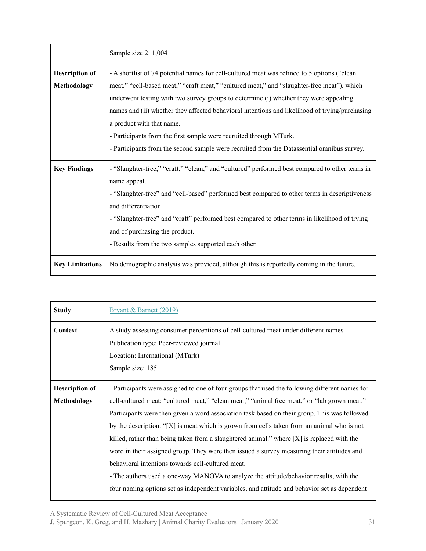|                        | Sample size 2: 1,004                                                                                                                                                                                                                                                                                                                                                                                                               |  |  |  |  |
|------------------------|------------------------------------------------------------------------------------------------------------------------------------------------------------------------------------------------------------------------------------------------------------------------------------------------------------------------------------------------------------------------------------------------------------------------------------|--|--|--|--|
| <b>Description of</b>  | - A shortlist of 74 potential names for cell-cultured meat was refined to 5 options ("clean                                                                                                                                                                                                                                                                                                                                        |  |  |  |  |
| Methodology            | meat," "cell-based meat," "craft meat," "cultured meat," and "slaughter-free meat"), which                                                                                                                                                                                                                                                                                                                                         |  |  |  |  |
|                        | underwent testing with two survey groups to determine (i) whether they were appealing                                                                                                                                                                                                                                                                                                                                              |  |  |  |  |
|                        | names and (ii) whether they affected behavioral intentions and likelihood of trying/purchasing                                                                                                                                                                                                                                                                                                                                     |  |  |  |  |
|                        | a product with that name.                                                                                                                                                                                                                                                                                                                                                                                                          |  |  |  |  |
|                        | - Participants from the first sample were recruited through MTurk.                                                                                                                                                                                                                                                                                                                                                                 |  |  |  |  |
|                        | - Participants from the second sample were recruited from the Datassential omnibus survey.                                                                                                                                                                                                                                                                                                                                         |  |  |  |  |
| <b>Key Findings</b>    | - "Slaughter-free," "craft," "clean," and "cultured" performed best compared to other terms in<br>name appeal.<br>- "Slaughter-free" and "cell-based" performed best compared to other terms in descriptiveness<br>and differentiation.<br>- "Slaughter-free" and "craft" performed best compared to other terms in likelihood of trying<br>and of purchasing the product.<br>- Results from the two samples supported each other. |  |  |  |  |
| <b>Key Limitations</b> | No demographic analysis was provided, although this is reportedly coming in the future.                                                                                                                                                                                                                                                                                                                                            |  |  |  |  |

| <b>Study</b>                         | Bryant & Barnett (2019)                                                                                                                                                                                                                                                                                                                                                                                                                                                                                                                                                                                                                                                                                                                                                                                                                     |
|--------------------------------------|---------------------------------------------------------------------------------------------------------------------------------------------------------------------------------------------------------------------------------------------------------------------------------------------------------------------------------------------------------------------------------------------------------------------------------------------------------------------------------------------------------------------------------------------------------------------------------------------------------------------------------------------------------------------------------------------------------------------------------------------------------------------------------------------------------------------------------------------|
| Context                              | A study assessing consumer perceptions of cell-cultured meat under different names<br>Publication type: Peer-reviewed journal<br>Location: International (MTurk)<br>Sample size: 185                                                                                                                                                                                                                                                                                                                                                                                                                                                                                                                                                                                                                                                        |
| <b>Description of</b><br>Methodology | - Participants were assigned to one of four groups that used the following different names for<br>cell-cultured meat: "cultured meat," "clean meat," "animal free meat," or "lab grown meat."<br>Participants were then given a word association task based on their group. This was followed<br>by the description: " $[X]$ is meat which is grown from cells taken from an animal who is not<br>killed, rather than being taken from a slaughtered animal." where $[X]$ is replaced with the<br>word in their assigned group. They were then issued a survey measuring their attitudes and<br>behavioral intentions towards cell-cultured meat.<br>- The authors used a one-way MANOVA to analyze the attitude/behavior results, with the<br>four naming options set as independent variables, and attitude and behavior set as dependent |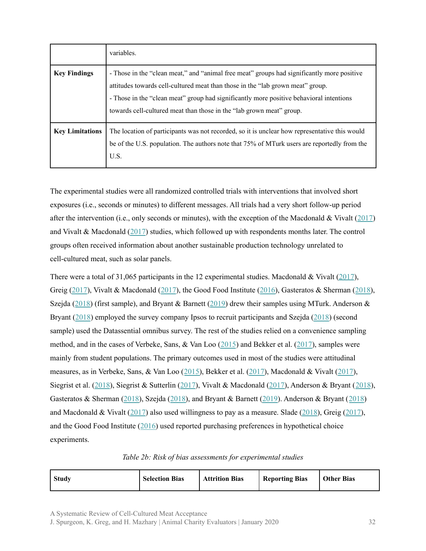|                        | variables.                                                                                                                                                                                                                                                                                                                                      |
|------------------------|-------------------------------------------------------------------------------------------------------------------------------------------------------------------------------------------------------------------------------------------------------------------------------------------------------------------------------------------------|
| <b>Key Findings</b>    | - Those in the "clean meat," and "animal free meat" groups had significantly more positive<br>attitudes towards cell-cultured meat than those in the "lab grown meat" group.<br>- Those in the "clean meat" group had significantly more positive behavioral intentions<br>towards cell-cultured meat than those in the "lab grown meat" group. |
| <b>Key Limitations</b> | The location of participants was not recorded, so it is unclear how representative this would<br>be of the U.S. population. The authors note that 75% of MTurk users are reportedly from the<br>U.S.                                                                                                                                            |

The experimental studies were all randomized controlled trials with interventions that involved short exposures (i.e., seconds or minutes) to different messages. All trials had a very short follow-up period after the intervention (i.e., only seconds or minutes), with the exception of the Macdonald & Vivalt ([2017\)](https://osf.io/ndtr2/) and Vivalt & Macdonald [\(2017](https://osf.io/97pjc/)) studies, which followed up with respondents months later. The control groups often received information about another sustainable production technology unrelated to cell-cultured meat, such as solar panels.

There were a total of 31,065 participants in the 12 experimental studies. Macdonald & Vivalt [\(2017](https://osf.io/ndtr2/)), Greig [\(2017](https://osf.io/97pjc/)), Vivalt & Macdonald (2017), the Good Food Institute ([2016\)](https://www.gfi.org/the-naming-of-clean-meat), Gasteratos & Sherman ([2018\)](https://dash.harvard.edu/handle/1/34901168), Szejda ([2018\)](https://www.gfi.org/images/uploads/2018/09/INN-RPT-Cellular-Agriculture-Nomenclature-2018-0921.pdf) (first sample), and Bryant & Barnett ([2019\)](https://www.sciencedirect.com/science/article/pii/S0195666318310948) drew their samples using MTurk. Anderson & Bryant [\(2018](https://faunalytics.org/wp-content/uploads/2018/11/Clean-Meat-Acceptance-Primary-Findings.pdf)) employed the survey company Ipsos to recruit participants and Szejda [\(2018](https://www.gfi.org/images/uploads/2018/09/INN-RPT-Cellular-Agriculture-Nomenclature-2018-0921.pdf)) (second sample) used the Datassential omnibus survey. The rest of the studies relied on a convenience sampling method, and in the cases of Verbeke, Sans, & Van Loo [\(2015](https://www.sciencedirect.com/science/article/pii/S2095311914608844)) and Bekker et al. ([2017\)](https://www.sciencedirect.com/science/article/pii/S0195666317303811), samples were mainly from student populations. The primary outcomes used in most of the studies were attitudinal measures, as in Verbeke, Sans, & Van Loo ([2015\)](https://www.sciencedirect.com/science/article/pii/S2095311914608844), Bekker et al. [\(2017](https://www.sciencedirect.com/science/article/pii/S0195666317303811)), Macdonald & Vivalt ([2017\)](https://osf.io/ndtr2/), Siegrist et al. [\(2018](https://www.sciencedirect.com/science/article/abs/pii/S0309174017303455)), Siegrist & Sutterlin [\(2017](https://www.sciencedirect.com/science/article/pii/S0195666317303926)), Vivalt & Macdonald [\(2017\)](https://osf.io/97pjc/), Anderson & Bryant ([2018](https://faunalytics.org/wp-content/uploads/2018/11/Clean-Meat-Acceptance-Primary-Findings.pdf)), Gasteratos & Sherman ([2018\)](https://dash.harvard.edu/handle/1/34901168), Szejda ([2018\)](https://www.gfi.org/images/uploads/2018/09/INN-RPT-Cellular-Agriculture-Nomenclature-2018-0921.pdf), and Bryant & Barnett [\(2019](https://www.sciencedirect.com/science/article/pii/S0195666318310948)). Anderson & Bryant ([2018](https://faunalytics.org/wp-content/uploads/2018/11/Clean-Meat-Acceptance-Primary-Findings.pdf)) and Macdonald & Vivalt [\(2017](https://osf.io/ndtr2/)) also used willingness to pay as a measure. Slade [\(2018](https://www.sciencedirect.com/science/article/pii/S0195666317317531)), Greig ([2017\)](https://animalcharityevaluators.org/blog/clean-meat-or-cultured-meat-a-randomized-trial-evaluating-the-impact-on-self-reported-purchasing-preferences/), and the Good Food Institute ([2016\)](https://www.gfi.org/the-naming-of-clean-meat) used reported purchasing preferences in hypothetical choice experiments.

#### *Table 2b: Risk of bias assessments for experimental studies*

| Study | <b>Selection Bias</b> | <b>Attrition Bias</b> | <b>Reporting Bias</b> | <b>Other Bias</b> |
|-------|-----------------------|-----------------------|-----------------------|-------------------|
|-------|-----------------------|-----------------------|-----------------------|-------------------|

A Systematic Review of Cell-Cultured Meat Acceptance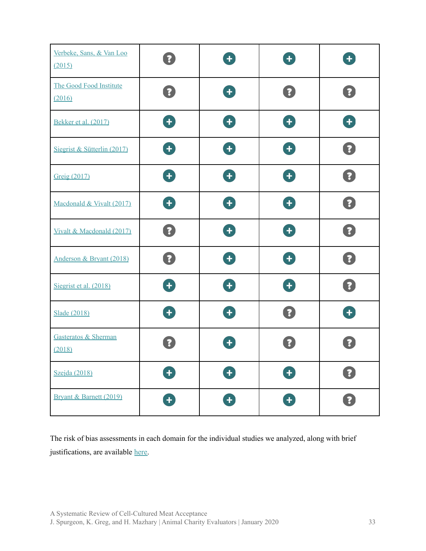| Verbeke, Sans, & Van Loo<br>(2015) | $\overline{\mathbf{?}}$                                               | $\left  \cdot \right $ | $\color{red}+$         | $\color{red}+$              |
|------------------------------------|-----------------------------------------------------------------------|------------------------|------------------------|-----------------------------|
| The Good Food Institute<br>(2016)  | 3                                                                     | 8                      | $\boxed{?}$            | $\left  \mathbf{?} \right $ |
| Bekker et al. (2017)               | Ŧ                                                                     | Ŧ                      | Ŧ                      | Ð                           |
| Siegrist & Sütterlin (2017)        | $\left( \begin{matrix} \textbf{1} \end{matrix} \right)$               | Ŧ                      | $\ddot{}$              | $\overline{\mathbf{?}}$     |
| Greig (2017)                       | Ð                                                                     | Œ                      | Ŧ                      | $\overline{\mathbf{?}}$     |
| Macdonald & Vivalt (2017)          | $+$                                                                   | $\pm$                  | $\ddot{}$              | $\overline{\mathbf{?}}$     |
| Vivalt & Macdonald (2017)          | $\left( 3\right)$                                                     | $\left  \cdot \right $ | $\left  \cdot \right $ | $\mathbf{?}$                |
| Anderson & Bryant (2018)           | $\mathbf{Z}$                                                          | Ð                      | $\ddot{}$              | $\overline{\mathbf{?}}$     |
| Siegrist et al. (2018)             | $+$                                                                   | $\pm$                  | $\pm$                  | $\overline{\mathbf{?}}$     |
| Slade (2018)                       | $\left  + \right $                                                    | $\left  \cdot \right $ | $\boxed{?}$            | $+$                         |
| Gasteratos & Sherman<br>(2018)     |                                                                       |                        |                        |                             |
| Szejda (2018)                      | $\left( \begin{matrix} \textbf{1} \\ \textbf{1} \end{matrix} \right)$ | 8                      | Œ                      | $\overline{\mathbf{?}}$     |
| Bryant & Barnett (2019)            | $\left( \begin{matrix} \textbf{1} \end{matrix} \right)$               | Ŧ                      | Ŧ                      | $\overline{\mathbf{z}}$     |

The risk of bias assessments in each domain for the individual studies we analyzed, along with brief justifications, are available [here.](https://docs.google.com/spreadsheets/d/1sfhYntqtCkn4RUAyGQXF5A4R9bNyLChWOH27pDcPR0w/edit?usp=drive_web&ouid=116772329959585266973)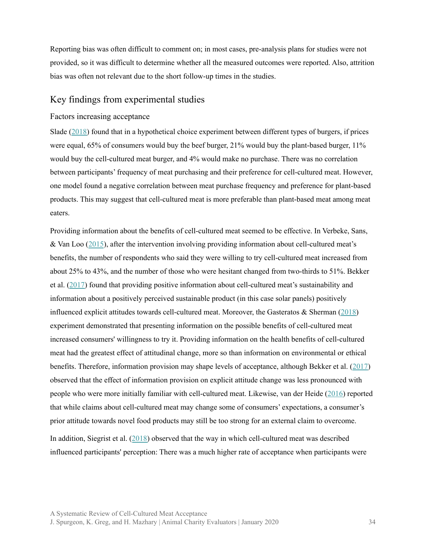Reporting bias was often difficult to comment on; in most cases, pre-analysis plans for studies were not provided, so it was difficult to determine whether all the measured outcomes were reported. Also, attrition bias was often not relevant due to the short follow-up times in the studies.

#### <span id="page-33-0"></span>Key findings from experimental studies

#### <span id="page-33-1"></span>Factors increasing acceptance

Slade ([2018\)](https://www.sciencedirect.com/science/article/pii/S0195666317317531) found that in a hypothetical choice experiment between different types of burgers, if prices were equal, 65% of consumers would buy the beef burger, 21% would buy the plant-based burger, 11% would buy the cell-cultured meat burger, and 4% would make no purchase. There was no correlation between participants' frequency of meat purchasing and their preference for cell-cultured meat. However, one model found a negative correlation between meat purchase frequency and preference for plant-based products. This may suggest that cell-cultured meat is more preferable than plant-based meat among meat eaters.

Providing information about the benefits of cell-cultured meat seemed to be effective. In Verbeke, Sans, & Van Loo [\(2015](https://www.sciencedirect.com/science/article/pii/S2095311914608844)), after the intervention involving providing information about cell-cultured meat's benefits, the number of respondents who said they were willing to try cell-cultured meat increased from about 25% to 43%, and the number of those who were hesitant changed from two-thirds to 51%. Bekker et al. ([2017\)](https://www.sciencedirect.com/science/article/pii/S0195666317303811) found that providing positive information about cell-cultured meat's sustainability and information about a positively perceived sustainable product (in this case solar panels) positively influenced explicit attitudes towards cell-cultured meat. Moreover, the Gasteratos  $\&$  Sherman [\(2018](https://dash.harvard.edu/handle/1/34901168)) experiment demonstrated that presenting information on the possible benefits of cell-cultured meat increased consumers' willingness to try it. Providing information on the health benefits of cell-cultured meat had the greatest effect of attitudinal change, more so than information on environmental or ethical benefits. Therefore, information provision may shape levels of acceptance, although Bekker et al. ([2017\)](https://www.sciencedirect.com/science/article/pii/S0195666317303811) observed that the effect of information provision on explicit attitude change was less pronounced with people who were more initially familiar with cell-cultured meat. Likewise, van der Heide ([2016\)](http://edepot.wur.nl/370158) reported that while claims about cell-cultured meat may change some of consumers' expectations, a consumer's prior attitude towards novel food products may still be too strong for an external claim to overcome.

In addition, Siegrist et al. ([2018\)](https://www.sciencedirect.com/science/article/abs/pii/S0309174017303455) observed that the way in which cell-cultured meat was described influenced participants' perception: There was a much higher rate of acceptance when participants were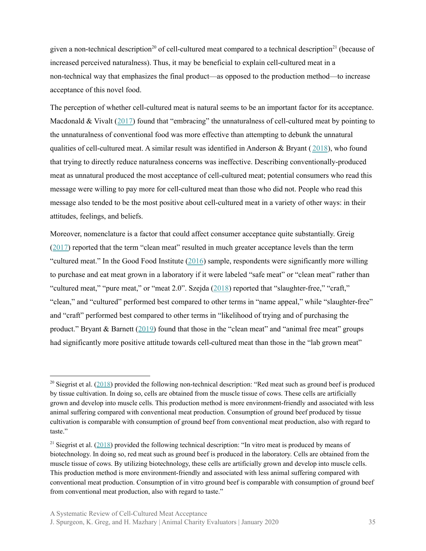given a non-technical description<sup>20</sup> of cell-cultured meat compared to a technical description<sup>21</sup> (because of increased perceived naturalness). Thus, it may be beneficial to explain cell-cultured meat in a non-technical way that emphasizes the final product—as opposed to the production method—to increase acceptance of this novel food.

The perception of whether cell-cultured meat is natural seems to be an important factor for its acceptance. Macdonald & Vivalt  $(2017)$  $(2017)$  found that "embracing" the unnaturalness of cell-cultured meat by pointing to the unnaturalness of conventional food was more effective than attempting to debunk the unnatural qualities of cell-cultured meat. A similar result was identified in Anderson & Bryant ( $2018$ ), who found that trying to directly reduce naturalness concerns was ineffective. Describing conventionally-produced meat as unnatural produced the most acceptance of cell-cultured meat; potential consumers who read this message were willing to pay more for cell-cultured meat than those who did not. People who read this message also tended to be the most positive about cell-cultured meat in a variety of other ways: in their attitudes, feelings, and beliefs.

Moreover, nomenclature is a factor that could affect consumer acceptance quite substantially. Greig  $(2017)$  $(2017)$  reported that the term "clean meat" resulted in much greater acceptance levels than the term "cultured meat." In the Good Food Institute  $(2016)$  $(2016)$  sample, respondents were significantly more willing to purchase and eat meat grown in a laboratory if it were labeled "safe meat" or "clean meat" rather than "cultured meat," "pure meat," or "meat 2.0". Szejda ([2018\)](https://www.gfi.org/images/uploads/2018/09/INN-RPT-Cellular-Agriculture-Nomenclature-2018-0921.pdf) reported that "slaughter-free," "craft," "clean," and "cultured" performed best compared to other terms in "name appeal," while "slaughter-free" and "craft" performed best compared to other terms in "likelihood of trying and of purchasing the product." Bryant & Barnett ([2019\)](https://www.sciencedirect.com/science/article/pii/S0195666318310948) found that those in the "clean meat" and "animal free meat" groups had significantly more positive attitude towards cell-cultured meat than those in the "lab grown meat"

<sup>&</sup>lt;sup>20</sup> Siegrist et al.  $(2018)$  $(2018)$  provided the following non-technical description: "Red meat such as ground beef is produced by tissue cultivation. In doing so, cells are obtained from the muscle tissue of cows. These cells are artificially grown and develop into muscle cells. This production method is more environment-friendly and associated with less animal suffering compared with conventional meat production. Consumption of ground beef produced by tissue cultivation is comparable with consumption of ground beef from conventional meat production, also with regard to taste."

<sup>&</sup>lt;sup>21</sup> Siegrist et al. ([2018\)](https://www.sciencedirect.com/science/article/abs/pii/S0309174017303455) provided the following technical description: "In vitro meat is produced by means of biotechnology. In doing so, red meat such as ground beef is produced in the laboratory. Cells are obtained from the muscle tissue of cows. By utilizing biotechnology, these cells are artificially grown and develop into muscle cells. This production method is more environment-friendly and associated with less animal suffering compared with conventional meat production. Consumption of in vitro ground beef is comparable with consumption of ground beef from conventional meat production, also with regard to taste."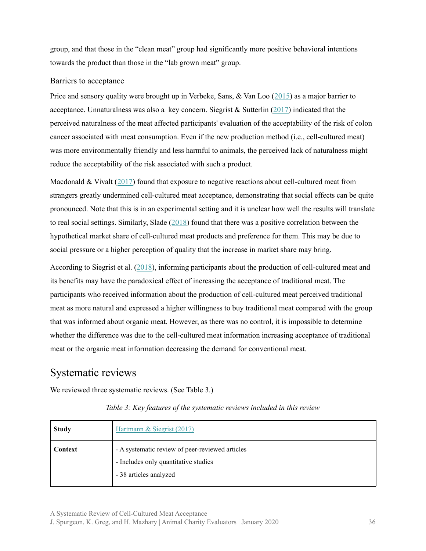group, and that those in the "clean meat" group had significantly more positive behavioral intentions towards the product than those in the "lab grown meat" group.

#### <span id="page-35-0"></span>Barriers to acceptance

Price and sensory quality were brought up in Verbeke, Sans, & Van Loo ([2015\)](https://www.sciencedirect.com/science/article/pii/S2095311914608844) as a major barrier to acceptance. Unnaturalness was also a key concern. Siegrist  $\&$  Sutterlin ([2017\)](https://www.sciencedirect.com/science/article/pii/S0195666317303926) indicated that the perceived naturalness of the meat affected participants' evaluation of the acceptability of the risk of colon cancer associated with meat consumption. Even if the new production method (i.e., cell-cultured meat) was more environmentally friendly and less harmful to animals, the perceived lack of naturalness might reduce the acceptability of the risk associated with such a product.

Macdonald & Vivalt  $(2017)$  $(2017)$  found that exposure to negative reactions about cell-cultured meat from strangers greatly undermined cell-cultured meat acceptance, demonstrating that social effects can be quite pronounced. Note that this is in an experimental setting and it is unclear how well the results will translate to real social settings. Similarly, Slade ([2018\)](https://www.sciencedirect.com/science/article/pii/S0195666317317531) found that there was a positive correlation between the hypothetical market share of cell-cultured meat products and preference for them. This may be due to social pressure or a higher perception of quality that the increase in market share may bring.

According to Siegrist et al. ([2018\)](https://www.sciencedirect.com/science/article/abs/pii/S0309174017303455), informing participants about the production of cell-cultured meat and its benefits may have the paradoxical effect of increasing the acceptance of traditional meat. The participants who received information about the production of cell-cultured meat perceived traditional meat as more natural and expressed a higher willingness to buy traditional meat compared with the group that was informed about organic meat. However, as there was no control, it is impossible to determine whether the difference was due to the cell-cultured meat information increasing acceptance of traditional meat or the organic meat information decreasing the demand for conventional meat.

# <span id="page-35-1"></span>Systematic reviews

We reviewed three systematic reviews. (See Table 3.)

| <b>Study</b> | Hartmann & Siegrist (2017)                                                                                        |
|--------------|-------------------------------------------------------------------------------------------------------------------|
| Context      | - A systematic review of peer-reviewed articles<br>- Includes only quantitative studies<br>- 38 articles analyzed |

*Table 3: Key features of the systematic reviews included in this review*

A Systematic Review of Cell-Cultured Meat Acceptance J. Spurgeon, K. Greg, and H. Mazhary | Animal Charity Evaluators | January 2020 36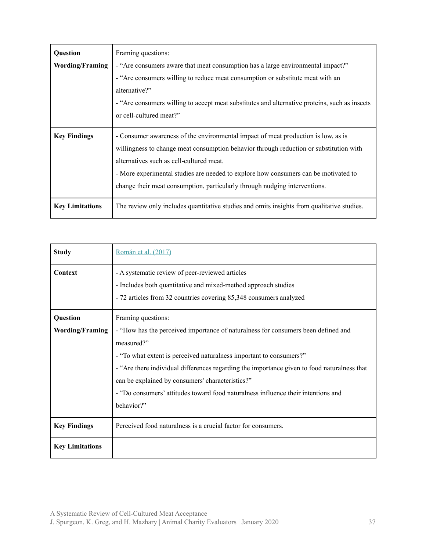| Question               | Framing questions:                                                                                                                                                                                                                                                                                                                                                                           |  |  |  |  |
|------------------------|----------------------------------------------------------------------------------------------------------------------------------------------------------------------------------------------------------------------------------------------------------------------------------------------------------------------------------------------------------------------------------------------|--|--|--|--|
| <b>Wording/Framing</b> | - "Are consumers aware that meat consumption has a large environmental impact?"                                                                                                                                                                                                                                                                                                              |  |  |  |  |
|                        | - "Are consumers willing to reduce meat consumption or substitute meat with an                                                                                                                                                                                                                                                                                                               |  |  |  |  |
|                        | alternative?"                                                                                                                                                                                                                                                                                                                                                                                |  |  |  |  |
|                        | - "Are consumers willing to accept meat substitutes and alternative proteins, such as insects                                                                                                                                                                                                                                                                                                |  |  |  |  |
|                        | or cell-cultured meat?"                                                                                                                                                                                                                                                                                                                                                                      |  |  |  |  |
| <b>Key Findings</b>    | - Consumer awareness of the environmental impact of meat production is low, as is<br>willingness to change meat consumption behavior through reduction or substitution with<br>alternatives such as cell-cultured meat.<br>- More experimental studies are needed to explore how consumers can be motivated to<br>change their meat consumption, particularly through nudging interventions. |  |  |  |  |
| <b>Key Limitations</b> | The review only includes quantitative studies and omits insights from qualitative studies.                                                                                                                                                                                                                                                                                                   |  |  |  |  |

| <b>Study</b>           | Román et al. (2017)                                                                                                                                                                                                                                                                                                                                                                                                          |
|------------------------|------------------------------------------------------------------------------------------------------------------------------------------------------------------------------------------------------------------------------------------------------------------------------------------------------------------------------------------------------------------------------------------------------------------------------|
| Context                | - A systematic review of peer-reviewed articles<br>- Includes both quantitative and mixed-method approach studies<br>- 72 articles from 32 countries covering 85,348 consumers analyzed                                                                                                                                                                                                                                      |
| Question               | Framing questions:                                                                                                                                                                                                                                                                                                                                                                                                           |
| <b>Wording/Framing</b> | - "How has the perceived importance of naturalness for consumers been defined and<br>measured?"<br>- "To what extent is perceived naturalness important to consumers?"<br>- "Are there individual differences regarding the importance given to food naturalness that<br>can be explained by consumers' characteristics?"<br>- "Do consumers' attitudes toward food naturalness influence their intentions and<br>behavior?" |
| <b>Key Findings</b>    | Perceived food naturalness is a crucial factor for consumers.                                                                                                                                                                                                                                                                                                                                                                |
| <b>Key Limitations</b> |                                                                                                                                                                                                                                                                                                                                                                                                                              |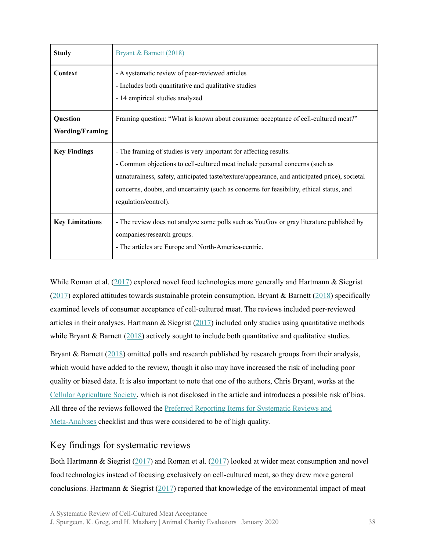| <b>Study</b>                       | Bryant & Barnett (2018)                                                                                                                                                                                                                                                                                                                                                |
|------------------------------------|------------------------------------------------------------------------------------------------------------------------------------------------------------------------------------------------------------------------------------------------------------------------------------------------------------------------------------------------------------------------|
| Context                            | - A systematic review of peer-reviewed articles<br>- Includes both quantitative and qualitative studies<br>- 14 empirical studies analyzed                                                                                                                                                                                                                             |
| Question<br><b>Wording/Framing</b> | Framing question: "What is known about consumer acceptance of cell-cultured meat?"                                                                                                                                                                                                                                                                                     |
| <b>Key Findings</b>                | - The framing of studies is very important for affecting results.<br>- Common objections to cell-cultured meat include personal concerns (such as<br>unnaturalness, safety, anticipated taste/texture/appearance, and anticipated price), societal<br>concerns, doubts, and uncertainty (such as concerns for feasibility, ethical status, and<br>regulation/control). |
| <b>Key Limitations</b>             | - The review does not analyze some polls such as YouGov or gray literature published by<br>companies/research groups.<br>- The articles are Europe and North-America-centric.                                                                                                                                                                                          |

While Roman et al. ([2017\)](https://www.sciencedirect.com/science/article/pii/S092422441730122X) explored novel food technologies more generally and Hartmann & Siegrist ([2017\)](https://www.sciencedirect.com/science/article/abs/pii/S0924224416302904) explored attitudes towards sustainable protein consumption, Bryant & Barnett [\(2018](https://www.sciencedirect.com/science/article/abs/pii/S0309174017314602)) specifically examined levels of consumer acceptance of cell-cultured meat. The reviews included peer-reviewed articles in their analyses. Hartmann  $\&$  Siegrist [\(2017](https://www.sciencedirect.com/science/article/abs/pii/S0924224416302904)) included only studies using quantitative methods while Bryant  $\&$  Barnett ([2018\)](https://www.sciencedirect.com/science/article/abs/pii/S0309174017314602) actively sought to include both quantitative and qualitative studies.

Bryant & Barnett ([2018\)](https://www.sciencedirect.com/science/article/abs/pii/S0309174017314602) omitted polls and research published by research groups from their analysis, which would have added to the review, though it also may have increased the risk of including poor quality or biased data. It is also important to note that one of the authors, Chris Bryant, works at the Cellular [Agriculture](https://www.cellag.org/about-us) Society, which is not disclosed in the article and introduces a possible risk of bias. All three of the reviews followed the Preferred Reporting Items for [Systematic](http://journals.plos.org/plosmedicine/article?id=10.1371/journal.pmed.1000100) Reviews and [Meta-Analyses](http://journals.plos.org/plosmedicine/article?id=10.1371/journal.pmed.1000100) checklist and thus were considered to be of high quality.

#### <span id="page-37-0"></span>Key findings for systematic reviews

Both Hartmann & Siegrist [\(2017](https://www.sciencedirect.com/science/article/abs/pii/S0924224416302904)) and Roman et al. [\(2017](https://www.sciencedirect.com/science/article/pii/S092422441730122X)) looked at wider meat consumption and novel food technologies instead of focusing exclusively on cell-cultured meat, so they drew more general conclusions. Hartmann & Siegrist  $(2017)$  $(2017)$  reported that knowledge of the environmental impact of meat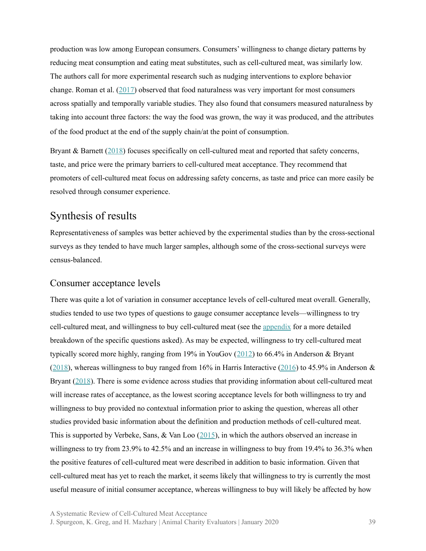production was low among European consumers. Consumers' willingness to change dietary patterns by reducing meat consumption and eating meat substitutes, such as cell-cultured meat, was similarly low. The authors call for more experimental research such as nudging interventions to explore behavior change. Roman et al. ([2017\)](https://www.sciencedirect.com/science/article/pii/S092422441730122X) observed that food naturalness was very important for most consumers across spatially and temporally variable studies. They also found that consumers measured naturalness by taking into account three factors: the way the food was grown, the way it was produced, and the attributes of the food product at the end of the supply chain/at the point of consumption.

Bryant & Barnett ([2018\)](https://www.sciencedirect.com/science/article/abs/pii/S0309174017314602) focuses specifically on cell-cultured meat and reported that safety concerns, taste, and price were the primary barriers to cell-cultured meat acceptance. They recommend that promoters of cell-cultured meat focus on addressing safety concerns, as taste and price can more easily be resolved through consumer experience.

# <span id="page-38-0"></span>Synthesis of results

Representativeness of samples was better achieved by the experimental studies than by the cross-sectional surveys as they tended to have much larger samples, although some of the cross-sectional surveys were census-balanced.

#### <span id="page-38-1"></span>Consumer acceptance levels

There was quite a lot of variation in consumer acceptance levels of cell-cultured meat overall. Generally, studies tended to use two types of questions to gauge consumer acceptance levels—willingness to try cell-cultured meat, and willingness to buy cell-cultured meat (see the [appendix](#page-47-0) for a more detailed breakdown of the specific questions asked). As may be expected, willingness to try cell-cultured meat typically scored more highly, ranging from 19% in YouGov  $(2012)$  $(2012)$  to 66.4% in Anderson & Bryant ([2018\)](https://faunalytics.org/wp-content/uploads/2018/11/Clean-Meat-Acceptance-Primary-Findings.pdf), whereas willingness to buy ranged from 16% in Harris Interactive [\(2016](http://harris-interactive.co.uk/wp-content/uploads/sites/7/2017/03/Cultured-Meat-Report-December-2016.pdf)) to 45.9% in Anderson  $\&$ Bryant [\(2018](https://faunalytics.org/wp-content/uploads/2018/11/Clean-Meat-Acceptance-Primary-Findings.pdf)). There is some evidence across studies that providing information about cell-cultured meat will increase rates of acceptance, as the lowest scoring acceptance levels for both willingness to try and willingness to buy provided no contextual information prior to asking the question, whereas all other studies provided basic information about the definition and production methods of cell-cultured meat. This is supported by Verbeke, Sans, & Van Loo  $(2015)$  $(2015)$  $(2015)$ , in which the authors observed an increase in willingness to try from 23.9% to 42.5% and an increase in willingness to buy from 19.4% to 36.3% when the positive features of cell-cultured meat were described in addition to basic information. Given that cell-cultured meat has yet to reach the market, it seems likely that willingness to try is currently the most useful measure of initial consumer acceptance, whereas willingness to buy will likely be affected by how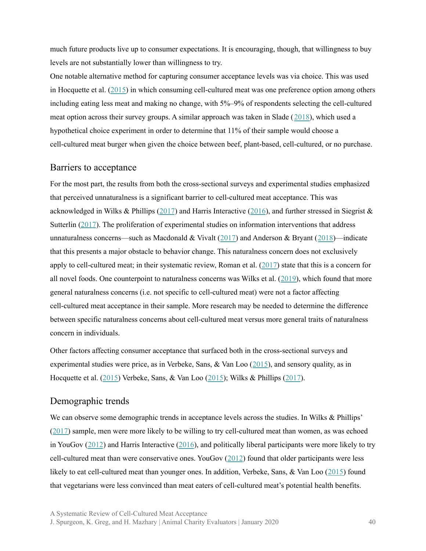much future products live up to consumer expectations. It is encouraging, though, that willingness to buy levels are not substantially lower than willingness to try.

One notable alternative method for capturing consumer acceptance levels was via choice. This was used in Hocquette et al. ([2015\)](https://www.researchgate.net/publication/272424529_Educated_consumers_don%27t_believe_artificial_meat_is_the_solution_to_the_problems_with_the_meat_industry) in which consuming cell-cultured meat was one preference option among others including eating less meat and making no change, with 5%–9% of respondents selecting the cell-cultured meat option across their survey groups. A similar approach was taken in Slade ([2018](https://www.sciencedirect.com/science/article/pii/S0195666317317531)), which used a hypothetical choice experiment in order to determine that 11% of their sample would choose a cell-cultured meat burger when given the choice between beef, plant-based, cell-cultured, or no purchase.

#### <span id="page-39-0"></span>Barriers to acceptance

For the most part, the results from both the cross-sectional surveys and experimental studies emphasized that perceived unnaturalness is a significant barrier to cell-cultured meat acceptance. This was acknowledged in Wilks & Phillips [\(2017](https://www.ncbi.nlm.nih.gov/pubmed/28207878)) and Harris Interactive [\(2016](http://harris-interactive.co.uk/wp-content/uploads/sites/7/2017/03/Cultured-Meat-Report-December-2016.pdf)), and further stressed in Siegrist & Sutterlin [\(2017](https://www.sciencedirect.com/science/article/pii/S0195666317303926)). The proliferation of experimental studies on information interventions that address unnaturalness concerns—such as Macdonald & Vivalt ([2017\)](https://osf.io/ndtr2/) and Anderson & Bryant ([2018\)](https://faunalytics.org/wp-content/uploads/2018/11/Clean-Meat-Acceptance-Primary-Findings.pdf)—indicate that this presents a major obstacle to behavior change. This naturalness concern does not exclusively apply to cell-cultured meat; in their systematic review, Roman et al. [\(2017](https://www.sciencedirect.com/science/article/pii/S092422441730122X)) state that this is a concern for all novel foods. One counterpoint to naturalness concerns was Wilks et al.  $(2019)$  $(2019)$ , which found that more general naturalness concerns (i.e. not specific to cell-cultured meat) were not a factor affecting cell-cultured meat acceptance in their sample. More research may be needed to determine the difference between specific naturalness concerns about cell-cultured meat versus more general traits of naturalness concern in individuals.

Other factors affecting consumer acceptance that surfaced both in the cross-sectional surveys and experimental studies were price, as in Verbeke, Sans,  $\&$  Van Loo ([2015](https://www.sciencedirect.com/science/article/pii/S2095311914608844)), and sensory quality, as in Hocquette et al. ([2015\)](https://www.researchgate.net/publication/272424529_Educated_consumers_don%27t_believe_artificial_meat_is_the_solution_to_the_problems_with_the_meat_industry) Verbeke, Sans, & Van Loo ([2015](https://www.sciencedirect.com/science/article/pii/S2095311914608844)); Wilks & Phillips [\(2017](https://journals.plos.org/plosone/article?id=10.1371/journal.pone.0171904)).

#### <span id="page-39-1"></span>Demographic trends

We can observe some demographic trends in acceptance levels across the studies. In Wilks & Phillips'  $(2017)$  $(2017)$  sample, men were more likely to be willing to try cell-cultured meat than women, as was echoed in YouGov [\(2012](http://cdn.yougov.com/cumulus_uploads/document/ie3yd1pd8v/Copy%20of%20Results%20120305%20Artificial%20meat.pdf)) and Harris Interactive [\(2016](http://harris-interactive.co.uk/wp-content/uploads/sites/7/2017/03/Cultured-Meat-Report-December-2016.pdf)), and politically liberal participants were more likely to try cell-cultured meat than were conservative ones. YouGov  $(2012)$  $(2012)$  $(2012)$  found that older participants were less likely to eat cell-cultured meat than younger ones. In addition, Verbeke, Sans, & Van Loo ([2015\)](https://www.sciencedirect.com/science/article/pii/S2095311914608844) found that vegetarians were less convinced than meat eaters of cell-cultured meat's potential health benefits.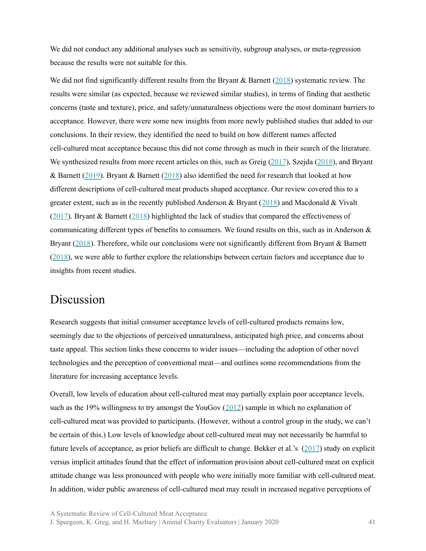We did not conduct any additional analyses such as sensitivity, subgroup analyses, or meta-regression because the results were not suitable for this.

We did not find significantly different results from the Bryant & Barnett  $(2018)$  $(2018)$  systematic review. The results were similar (as expected, because we reviewed similar studies), in terms of finding that aesthetic concerns (taste and texture), price, and safety/unnaturalness objections were the most dominant barriers to acceptance. However, there were some new insights from more newly published studies that added to our conclusions. In their review, they identified the need to build on how different names affected cell-cultured meat acceptance because this did not come through as much in their search of the literature. We synthesized results from more recent articles on this, such as Greig [\(2017](https://animalcharityevaluators.org/blog/clean-meat-or-cultured-meat-a-randomized-trial-evaluating-the-impact-on-self-reported-purchasing-preferences/)), Szejda [\(2018](https://www.gfi.org/images/uploads/2018/09/INN-RPT-Cellular-Agriculture-Nomenclature-2018-0921.pdf)), and Bryant & Barnett [\(2019](https://www.sciencedirect.com/science/article/pii/S0195666318310948)). Bryant & Barnett ([2018\)](https://www.sciencedirect.com/science/article/abs/pii/S0309174017314602) also identified the need for research that looked at how different descriptions of cell-cultured meat products shaped acceptance. Our review covered this to a greater extent, such as in the recently published Anderson & Bryant ([2018\)](https://faunalytics.org/wp-content/uploads/2018/11/Clean-Meat-Acceptance-Primary-Findings.pdf) and Macdonald & Vivalt ([2017\)](https://osf.io/ndtr2/). Bryant & Barnett ([2018\)](https://www.sciencedirect.com/science/article/abs/pii/S0309174017314602) highlighted the lack of studies that compared the effectiveness of communicating different types of benefits to consumers. We found results on this, such as in Anderson & Bryant [\(2018](https://faunalytics.org/wp-content/uploads/2018/11/Clean-Meat-Acceptance-Primary-Findings.pdf)). Therefore, while our conclusions were not significantly different from Bryant & Barnett ([2018\)](https://www.sciencedirect.com/science/article/abs/pii/S0309174017314602), we were able to further explore the relationships between certain factors and acceptance due to insights from recent studies.

# <span id="page-40-0"></span>Discussion

Research suggests that initial consumer acceptance levels of cell-cultured products remains low, seemingly due to the objections of perceived unnaturalness, anticipated high price, and concerns about taste appeal. This section links these concerns to wider issues—including the adoption of other novel technologies and the perception of conventional meat—and outlines some recommendations from the literature for increasing acceptance levels.

Overall, low levels of education about cell-cultured meat may partially explain poor acceptance levels, such as the 19% willingness to try amongst the YouGov ([2012](http://cdn.yougov.com/cumulus_uploads/document/ie3yd1pd8v/Copy%20of%20Results%20120305%20Artificial%20meat.pdf)) sample in which no explanation of cell-cultured meat was provided to participants. (However, without a control group in the study, we can't be certain of this.) Low levels of knowledge about cell-cultured meat may not necessarily be harmful to future levels of acceptance, as prior beliefs are difficult to change. Bekker et al.'s [\(2017](https://www.sciencedirect.com/science/article/abs/pii/S0195666316305037)) study on explicit versus implicit attitudes found that the effect of information provision about cell-cultured meat on explicit attitude change was less pronounced with people who were initially more familiar with cell-cultured meat. In addition, wider public awareness of cell-cultured meat may result in increased negative perceptions of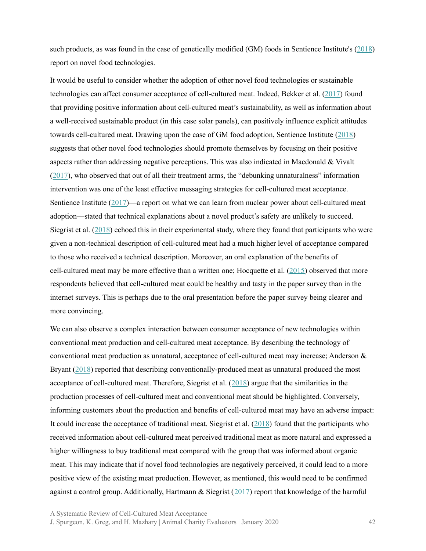such products, as was found in the case of genetically modified (GM) foods in Sentience Institute's [\(2018](https://www.sentienceinstitute.org/animal-farming-attitudes-survey-2017#methodological-notes)) report on novel food technologies.

It would be useful to consider whether the adoption of other novel food technologies or sustainable technologies can affect consumer acceptance of cell-cultured meat. Indeed, Bekker et al. [\(2017\)](https://www.sciencedirect.com/science/article/pii/S0195666317303811) found that providing positive information about cell-cultured meat's sustainability, as well as information about a well-received sustainable product (in this case solar panels), can positively influence explicit attitudes towards cell-cultured meat. Drawing upon the case of GM food adoption, Sentience Institute ([2018\)](https://www.sentienceinstitute.org/animal-farming-attitudes-survey-2017#methodological-notes) suggests that other novel food technologies should promote themselves by focusing on their positive aspects rather than addressing negative perceptions. This was also indicated in Macdonald & Vivalt ([2017\)](https://osf.io/ndtr2/), who observed that out of all their treatment arms, the "debunking unnaturalness" information intervention was one of the least effective messaging strategies for cell-cultured meat acceptance. Sentience Institute ([2017\)](https://www.sentienceinstitute.org/animal-farming-attitudes-survey-2017#methodological-notes)—a report on what we can learn from nuclear power about cell-cultured meat adoption—stated that technical explanations about a novel product's safety are unlikely to succeed. Siegrist et al. [\(2018](https://www.sciencedirect.com/science/article/abs/pii/S0309174017303455)) echoed this in their experimental study, where they found that participants who were given a non-technical description of cell-cultured meat had a much higher level of acceptance compared to those who received a technical description. Moreover, an oral explanation of the benefits of cell-cultured meat may be more effective than a written one; Hocquette et al.  $(2015)$  $(2015)$  observed that more respondents believed that cell-cultured meat could be healthy and tasty in the paper survey than in the internet surveys. This is perhaps due to the oral presentation before the paper survey being clearer and more convincing.

We can also observe a complex interaction between consumer acceptance of new technologies within conventional meat production and cell-cultured meat acceptance. By describing the technology of conventional meat production as unnatural, acceptance of cell-cultured meat may increase; Anderson & Bryant [\(2018](https://faunalytics.org/wp-content/uploads/2018/11/Clean-Meat-Acceptance-Primary-Findings.pdf)) reported that describing conventionally-produced meat as unnatural produced the most acceptance of cell-cultured meat. Therefore, Siegrist et al. ([2018\)](https://www.sciencedirect.com/science/article/abs/pii/S0309174017303455) argue that the similarities in the production processes of cell-cultured meat and conventional meat should be highlighted. Conversely, informing customers about the production and benefits of cell-cultured meat may have an adverse impact: It could increase the acceptance of traditional meat. Siegrist et al. [\(2018](https://www.sciencedirect.com/science/article/abs/pii/S0309174017303455)) found that the participants who received information about cell-cultured meat perceived traditional meat as more natural and expressed a higher willingness to buy traditional meat compared with the group that was informed about organic meat. This may indicate that if novel food technologies are negatively perceived, it could lead to a more positive view of the existing meat production. However, as mentioned, this would need to be confirmed against a control group. Additionally, Hartmann & Siegrist  $(2017)$  $(2017)$  report that knowledge of the harmful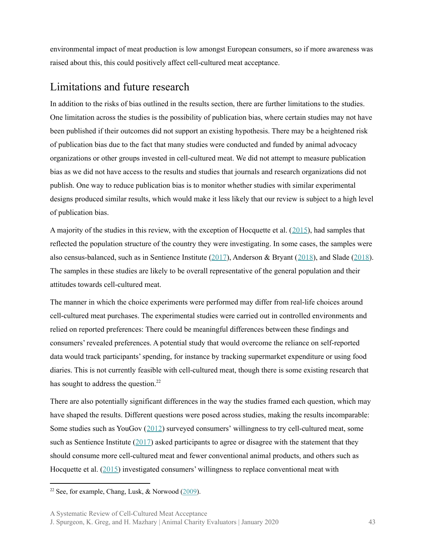environmental impact of meat production is low amongst European consumers, so if more awareness was raised about this, this could positively affect cell-cultured meat acceptance.

### <span id="page-42-0"></span>Limitations and future research

In addition to the risks of bias outlined in the results section, there are further limitations to the studies. One limitation across the studies is the possibility of publication bias, where certain studies may not have been published if their outcomes did not support an existing hypothesis. There may be a heightened risk of publication bias due to the fact that many studies were conducted and funded by animal advocacy organizations or other groups invested in cell-cultured meat. We did not attempt to measure publication bias as we did not have access to the results and studies that journals and research organizations did not publish. One way to reduce publication bias is to monitor whether studies with similar experimental designs produced similar results, which would make it less likely that our review is subject to a high level of publication bias.

A majority of the studies in this review, with the exception of Hocquette et al. ([2015](https://www.researchgate.net/publication/272424529_Educated_consumers_don%27t_believe_artificial_meat_is_the_solution_to_the_problems_with_the_meat_industry)), had samples that reflected the population structure of the country they were investigating. In some cases, the samples were also census-balanced, such as in Sentience Institute ([2017\)](https://www.sentienceinstitute.org/animal-farming-attitudes-survey-2017#methodological-notes), Anderson & Bryant ([2018](https://faunalytics.org/wp-content/uploads/2018/11/Clean-Meat-Acceptance-Primary-Findings.pdf)), and Slade ([2018\)](https://www.sciencedirect.com/science/article/pii/S0195666317317531). The samples in these studies are likely to be overall representative of the general population and their attitudes towards cell-cultured meat.

The manner in which the choice experiments were performed may differ from real-life choices around cell-cultured meat purchases. The experimental studies were carried out in controlled environments and relied on reported preferences: There could be meaningful differences between these findings and consumers' revealed preferences. A potential study that would overcome the reliance on self-reported data would track participants'spending, for instance by tracking supermarket expenditure or using food diaries. This is not currently feasible with cell-cultured meat, though there is some existing research that has sought to address the question.<sup>22</sup>

There are also potentially significant differences in the way the studies framed each question, which may have shaped the results. Different questions were posed across studies, making the results incomparable: Some studies such as YouGov ([2012](http://cdn.yougov.com/cumulus_uploads/document/ie3yd1pd8v/Copy%20of%20Results%20120305%20Artificial%20meat.pdf)) surveyed consumers' willingness to try cell-cultured meat, some such as Sentience Institute  $(2017)$  $(2017)$  asked participants to agree or disagree with the statement that they should consume more cell-cultured meat and fewer conventional animal products, and others such as Hocquette et al. ([2015\)](https://www.researchgate.net/publication/272424529_Educated_consumers_don%27t_believe_artificial_meat_is_the_solution_to_the_problems_with_the_meat_industry) investigated consumers' willingness to replace conventional meat with

<sup>&</sup>lt;sup>22</sup> See, for example, Chang, Lusk,  $\&$  Norwood ([2009\)](https://academic.oup.com/ajae/article-abstract/91/2/518/79763?redirectedFrom=fulltext).

J. Spurgeon, K. Greg, and H. Mazhary | Animal Charity Evaluators | January 2020 43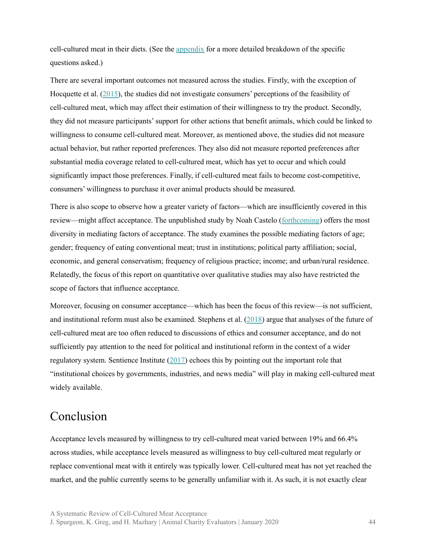cell-cultured meat in their diets. (See the [appendix](#page-47-0) for a more detailed breakdown of the specific questions asked.)

There are several important outcomes not measured across the studies. Firstly, with the exception of Hocquette et al. ([2015\)](https://www.researchgate.net/publication/272424529_Educated_consumers_don%27t_believe_artificial_meat_is_the_solution_to_the_problems_with_the_meat_industry), the studies did not investigate consumers' perceptions of the feasibility of cell-cultured meat, which may affect their estimation of their willingness to try the product. Secondly, they did not measure participants'support for other actions that benefit animals, which could be linked to willingness to consume cell-cultured meat. Moreover, as mentioned above, the studies did not measure actual behavior, but rather reported preferences. They also did not measure reported preferences after substantial media coverage related to cell-cultured meat, which has yet to occur and which could significantly impact those preferences. Finally, if cell-cultured meat fails to become cost-competitive, consumers' willingness to purchase it over animal products should be measured.

There is also scope to observe how a greater variety of factors—which are insufficiently covered in this review—might affect acceptance. The unpublished study by Noah Castelo ([forthcoming](https://osf.io/9myph/)) offers the most diversity in mediating factors of acceptance. The study examines the possible mediating factors of age; gender; frequency of eating conventional meat; trust in institutions; political party affiliation; social, economic, and general conservatism; frequency of religious practice; income; and urban/rural residence. Relatedly, the focus of this report on quantitative over qualitative studies may also have restricted the scope of factors that influence acceptance.

Moreover, focusing on consumer acceptance—which has been the focus of this review—is not sufficient, and institutional reform must also be examined. Stephens et al. ([2018\)](https://www.researchgate.net/publication/324799833_Bringing_cultured_meat_to_market_Technical_socio-political_and_regulatory_challenges_in_Cellular_Agriculture) argue that analyses of the future of cell-cultured meat are too often reduced to discussions of ethics and consumer acceptance, and do not sufficiently pay attention to the need for political and institutional reform in the context of a wider regulatory system. Sentience Institute ([2017\)](https://www.sentienceinstitute.org/nuclear-power-clean-meat) echoes this by pointing out the important role that "institutional choices by governments, industries, and news media" will play in making cell-cultured meat widely available.

# <span id="page-43-0"></span>Conclusion

Acceptance levels measured by willingness to try cell-cultured meat varied between 19% and 66.4% across studies, while acceptance levels measured as willingness to buy cell-cultured meat regularly or replace conventional meat with it entirely was typically lower. Cell-cultured meat has not yet reached the market, and the public currently seems to be generally unfamiliar with it. As such, it is not exactly clear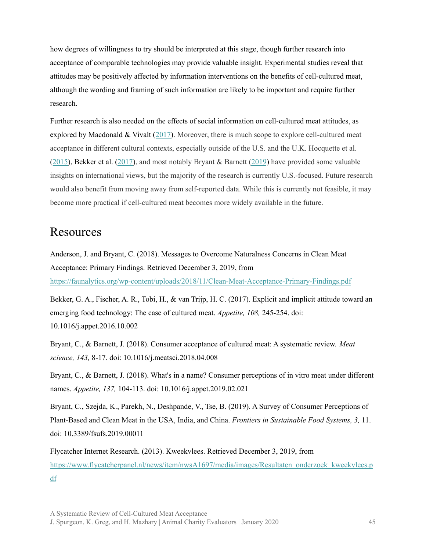how degrees of willingness to try should be interpreted at this stage, though further research into acceptance of comparable technologies may provide valuable insight. Experimental studies reveal that attitudes may be positively affected by information interventions on the benefits of cell-cultured meat, although the wording and framing of such information are likely to be important and require further research.

Further research is also needed on the effects of social information on cell-cultured meat attitudes, as explored by Macdonald  $&$  Vivalt ([2017\)](https://osf.io/ndtr2/). Moreover, there is much scope to explore cell-cultured meat acceptance in different cultural contexts, especially outside of the U.S. and the U.K. Hocquette et al. ([2015\)](https://www.researchgate.net/publication/272424529_Educated_consumers_don%27t_believe_artificial_meat_is_the_solution_to_the_problems_with_the_meat_industry), Bekker et al. [\(2017](https://www.sciencedirect.com/science/article/pii/S0195666317303811)), and most notably Bryant & Barnett [\(2019](https://www.sciencedirect.com/science/article/pii/S0195666318310948)) have provided some valuable insights on international views, but the majority of the research is currently U.S.-focused. Future research would also benefit from moving away from self-reported data. While this is currently not feasible, it may become more practical if cell-cultured meat becomes more widely available in the future.

# <span id="page-44-0"></span>**Resources**

Anderson, J. and Bryant, C. (2018). Messages to Overcome Naturalness Concerns in Clean Meat Acceptance: Primary Findings. Retrieved December 3, 2019, from <https://faunalytics.org/wp-content/uploads/2018/11/Clean-Meat-Acceptance-Primary-Findings.pdf>

Bekker, G. A., Fischer, A. R., Tobi, H., & van Trijp, H. C. (2017). Explicit and implicit attitude toward an emerging food technology: The case of cultured meat. *Appetite, 108,* 245-254. doi: 10.1016/j.appet.2016.10.002

Bryant, C., & Barnett, J. (2018). Consumer acceptance of cultured meat: A systematic review. *Meat science, 143,* 8-17. doi: 10.1016/j.meatsci.2018.04.008

Bryant, C., & Barnett, J. (2018). What's in a name? Consumer perceptions of in vitro meat under different names. *Appetite, 137,* 104-113. doi: 10.1016/j.appet.2019.02.021

Bryant, C., Szejda, K., Parekh, N., Deshpande, V., Tse, B. (2019). A Survey of Consumer Perceptions of Plant-Based and Clean Meat in the USA, India, and China. *Frontiers in Sustainable Food Systems, 3,* 11. doi: 10.3389/fsufs.2019.00011

Flycatcher Internet Research. (2013). Kweekvlees. Retrieved December 3, 2019, from [https://www.flycatcherpanel.nl/news/item/nwsA1697/media/images/Resultaten\\_onderzoek\\_kweekvlees.p](https://www.flycatcherpanel.nl/news/item/nwsA1697/media/images/Resultaten_onderzoek_kweekvlees.pdf) [df](https://www.flycatcherpanel.nl/news/item/nwsA1697/media/images/Resultaten_onderzoek_kweekvlees.pdf)

A Systematic Review of Cell-Cultured Meat Acceptance

J. Spurgeon, K. Greg, and H. Mazhary | Animal Charity Evaluators | January 2020 45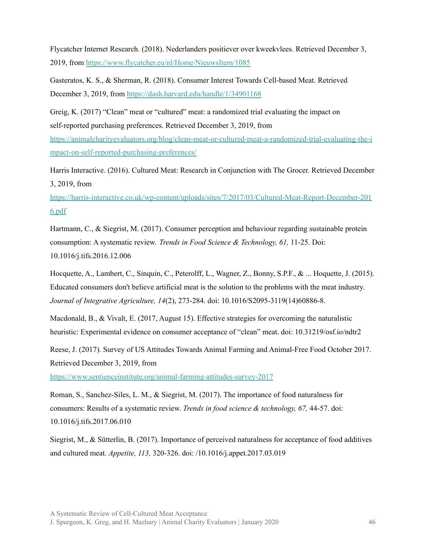Flycatcher Internet Research. (2018). Nederlanders positiever over kweekvlees. Retrieved December 3, 2019, from <https://www.flycatcher.eu/nl/Home/NieuwsItem/1085>

Gasteratos, K. S., & Sherman, R. (2018). Consumer Interest Towards Cell-based Meat. Retrieved December 3, 2019, from <https://dash.harvard.edu/handle/1/34901168>

Greig, K. (2017) "Clean" meat or "cultured" meat: a randomized trial evaluating the impact on self-reported purchasing preferences. Retrieved December 3, 2019, from

[https://animalcharityevaluators.org/blog/clean-meat-or-cultured-meat-a-randomized-trial-evaluating-the-i](https://animalcharityevaluators.org/blog/clean-meat-or-cultured-meat-a-randomized-trial-evaluating-the-impact-on-self-reported-purchasing-preferences/) [mpact-on-self-reported-purchasing-preferences/](https://animalcharityevaluators.org/blog/clean-meat-or-cultured-meat-a-randomized-trial-evaluating-the-impact-on-self-reported-purchasing-preferences/)

Harris Interactive. (2016). Cultured Meat: Research in Conjunction with The Grocer. Retrieved December 3, 2019, from

[https://harris-interactive.co.uk/wp-content/uploads/sites/7/2017/03/Cultured-Meat-Report-December-201](https://harris-interactive.co.uk/wp-content/uploads/sites/7/2017/03/Cultured-Meat-Report-December-2016.pdf) [6.pdf](https://harris-interactive.co.uk/wp-content/uploads/sites/7/2017/03/Cultured-Meat-Report-December-2016.pdf)

Hartmann, C., & Siegrist, M. (2017). Consumer perception and behaviour regarding sustainable protein consumption: A systematic review. *Trends in Food Science & Technology, 61,* 11-25. Doi: 10.1016/j.tifs.2016.12.006

Hocquette, A., Lambert, C., Sinquin, C., Peterolff, L., Wagner, Z., Bonny, S.P.F., & ... Hoquette, J. (2015). Educated consumers don't believe artificial meat is the solution to the problems with the meat industry. *Journal of Integrative Agriculture, 14*(2), 273-284. doi: 10.1016/S2095-3119(14)60886-8.

Macdonald, B., & Vivalt, E. (2017, August 15). Effective strategies for overcoming the naturalistic heuristic: Experimental evidence on consumer acceptance of "clean" meat. doi: 10.31219/osf.io/ndtr2

Reese, J. (2017). Survey of US Attitudes Towards Animal Farming and Animal-Free Food October 2017. Retrieved December 3, 2019, from

<https://www.sentienceinstitute.org/animal-farming-attitudes-survey-2017>

Roman, S., Sanchez-Siles, L. M., & Siegrist, M. (2017). The importance of food naturalness for consumers: Results of a systematic review. *Trends in food science & technology, 67,* 44-57. doi: 10.1016/j.tifs.2017.06.010

Siegrist, M., & Sütterlin, B. (2017). Importance of perceived naturalness for acceptance of food additives and cultured meat. *Appetite, 113,* 320-326. doi: /10.1016/j.appet.2017.03.019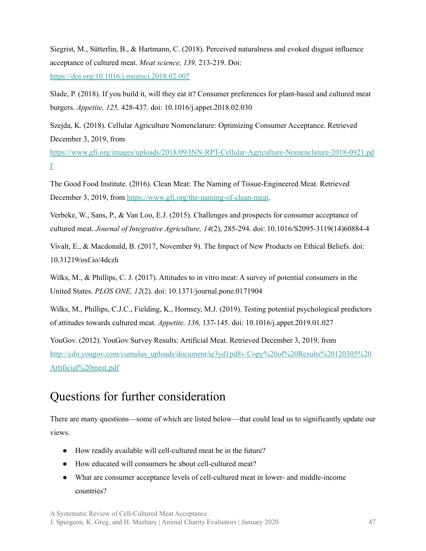Siegrist, M., Sütterlin, B., & Hartmann, C. (2018). Perceived naturalness and evoked disgust influence acceptance of cultured meat. *Meat science, 139,* 213-219. Doi: <https://doi.org/10.1016/j.meatsci.2018.02.007>

Slade, P. (2018). If you build it, will they eat it? Consumer preferences for plant-based and cultured meat burgers. *Appetite, 125,* 428-437. doi: 10.1016/j.appet.2018.02.030

Szejda, K. (2018). Cellular Agriculture Nomenclature: Optimizing Consumer Acceptance. Retrieved December 3, 2019, from

[https://www.gfi.org/images/uploads/2018/09/INN-RPT-Cellular-Agriculture-Nomenclature-2018-0921.pd](https://www.gfi.org/images/uploads/2018/09/INN-RPT-Cellular-Agriculture-Nomenclature-2018-0921.pdf) [f](https://www.gfi.org/images/uploads/2018/09/INN-RPT-Cellular-Agriculture-Nomenclature-2018-0921.pdf)

The Good Food Institute. (2016). Clean Meat: The Naming of Tissue-Engineered Meat. Retrieved December 3, 2019, from <https://www.gfi.org/the-naming-of-clean-meat>.

Verbeke, W., Sans, P., & Van Loo, E.J. (2015). Challenges and prospects for consumer acceptance of cultured meat. *Journal of Integrative Agriculture, 14*(2), 285-294. doi: 10.1016/S2095-3119(14)60884-4

Vivalt, E., & Macdonald, B. (2017, November 9). The Impact of New Products on Ethical Beliefs. doi: 10.31219/osf.io/4dczh

Wilks, M., & Phillips, C. J. (2017). Attitudes to in vitro meat: A survey of potential consumers in the United States. *PLOS ONE, 12*(2). doi: 10.1371/journal.pone.0171904

Wilks, M., Phillips, C.J.C., Fielding, K., Hornsey, M.J. (2019). Testing potential psychological predictors of attitudes towards cultured meat. *Appetite, 136,* 137-145. doi: 10.1016/j.appet.2019.01.027

YouGov. (2012). YouGov Survey Results: Artificial Meat. Retrieved December 3, 2019, from [http://cdn.yougov.com/cumulus\\_uploads/document/ie3yd1pd8v/Copy%20of%20Results%20120305%20](http://cdn.yougov.com/cumulus_uploads/document/ie3yd1pd8v/Copy%20of%20Results%20120305%20Artificial%20meat.pdf) [Artificial%20meat.pdf](http://cdn.yougov.com/cumulus_uploads/document/ie3yd1pd8v/Copy%20of%20Results%20120305%20Artificial%20meat.pdf)

# <span id="page-46-0"></span>Questions for further consideration

There are many questions—some of which are listed below—that could lead us to significantly update our views.

- How readily available will cell-cultured meat be in the future?
- How educated will consumers be about cell-cultured meat?
- What are consumer acceptance levels of cell-cultured meat in lower- and middle-income countries?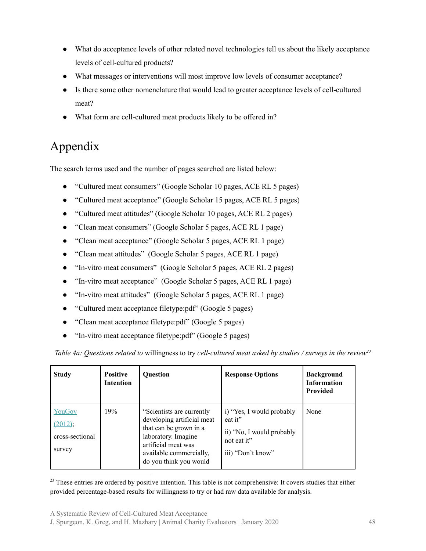- What do acceptance levels of other related novel technologies tell us about the likely acceptance levels of cell-cultured products?
- What messages or interventions will most improve low levels of consumer acceptance?
- Is there some other nomenclature that would lead to greater acceptance levels of cell-cultured meat?
- What form are cell-cultured meat products likely to be offered in?

# <span id="page-47-0"></span>Appendix

The search terms used and the number of pages searched are listed below:

- "Cultured meat consumers" (Google Scholar 10 pages, ACE RL 5 pages)
- "Cultured meat acceptance" (Google Scholar 15 pages, ACE RL 5 pages)
- "Cultured meat attitudes" (Google Scholar 10 pages, ACE RL 2 pages)
- "Clean meat consumers" (Google Scholar 5 pages, ACE RL 1 page)
- "Clean meat acceptance" (Google Scholar 5 pages, ACE RL 1 page)
- "Clean meat attitudes" (Google Scholar 5 pages, ACE RL 1 page)
- "In-vitro meat consumers" (Google Scholar 5 pages, ACE RL 2 pages)
- "In-vitro meat acceptance" (Google Scholar 5 pages, ACE RL 1 page)
- "In-vitro meat attitudes" (Google Scholar 5 pages, ACE RL 1 page)
- "Cultured meat acceptance filetype:pdf" (Google 5 pages)
- "Clean meat acceptance filetype:pdf" (Google 5 pages)
- "In-vitro meat acceptance filetype:pdf" (Google 5 pages)

*Table 4a: Questions related to* willingness to try *cell-cultured meat asked by studies / surveys in the review<sup>23</sup>*

| <b>Study</b>                                   | <b>Positive</b><br><b>Intention</b> | <b>Ouestion</b>                                                                                                                                                                       | <b>Response Options</b>                                                                               | <b>Background</b><br><b>Information</b><br><b>Provided</b> |
|------------------------------------------------|-------------------------------------|---------------------------------------------------------------------------------------------------------------------------------------------------------------------------------------|-------------------------------------------------------------------------------------------------------|------------------------------------------------------------|
| YouGov<br>(2012);<br>cross-sectional<br>survey | 19%                                 | "Scientists are currently"<br>developing artificial meat<br>that can be grown in a<br>laboratory. Imagine<br>artificial meat was<br>available commercially,<br>do you think you would | i) "Yes, I would probably<br>eat it"<br>ii) "No, I would probably<br>not eat it"<br>iii) "Don't know" | None                                                       |

<sup>23</sup> These entries are ordered by positive intention. This table is not comprehensive: It covers studies that either provided percentage-based results for willingness to try or had raw data available for analysis.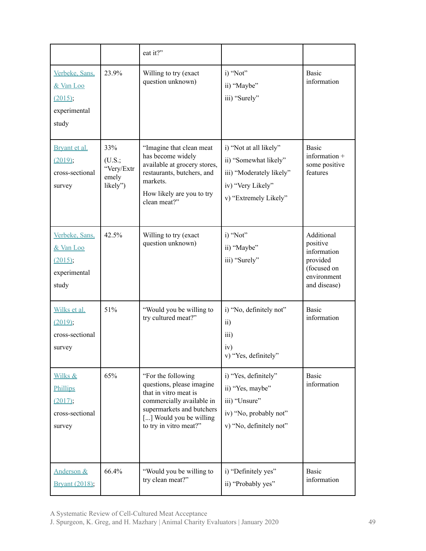|                                                                 |                                                  | eat it?"                                                                                                                                                                                |                                                                                                                           |                                                                                                 |
|-----------------------------------------------------------------|--------------------------------------------------|-----------------------------------------------------------------------------------------------------------------------------------------------------------------------------------------|---------------------------------------------------------------------------------------------------------------------------|-------------------------------------------------------------------------------------------------|
| Verbeke, Sans.<br>& Van Loo<br>(2015);<br>experimental<br>study | 23.9%                                            | Willing to try (exact<br>question unknown)                                                                                                                                              | i) "Not"<br>ii) "Maybe"<br>iii) "Surely"                                                                                  | <b>Basic</b><br>information                                                                     |
| Bryant et al.<br>(2019);<br>cross-sectional<br>survey           | 33%<br>(U.S.;<br>"Very/Extr<br>emely<br>likely") | "Imagine that clean meat<br>has become widely<br>available at grocery stores,<br>restaurants, butchers, and<br>markets.<br>How likely are you to try<br>clean meat?"                    | i) "Not at all likely"<br>ii) "Somewhat likely"<br>iii) "Moderately likely"<br>iv) "Very Likely"<br>v) "Extremely Likely" | <b>Basic</b><br>information +<br>some positive<br>features                                      |
| Verbeke, Sans,<br>& Van Loo<br>(2015);<br>experimental<br>study | 42.5%                                            | Willing to try (exact<br>question unknown)                                                                                                                                              | i) "Not"<br>ii) "Maybe"<br>iii) "Surely"                                                                                  | Additional<br>positive<br>information<br>provided<br>(focused on<br>environment<br>and disease) |
| Wilks et al.<br>(2019);<br>cross-sectional<br>survey            | 51%                                              | "Would you be willing to<br>try cultured meat?"                                                                                                                                         | i) "No, definitely not"<br>$\overline{11}$<br>iii)<br>iv)<br>v) "Yes, definitely"                                         | <b>Basic</b><br>information                                                                     |
| Wilks &<br>Phillips<br>(2017);<br>cross-sectional<br>survey     | 65%                                              | "For the following<br>questions, please imagine<br>that in vitro meat is<br>commercially available in<br>supermarkets and butchers<br>[] Would you be willing<br>to try in vitro meat?" | i) "Yes, definitely"<br>ii) "Yes, maybe"<br>iii) "Unsure"<br>iv) "No, probably not"<br>v) "No, definitely not"            | <b>Basic</b><br>information                                                                     |
| Anderson &<br>Bryant (2018);                                    | 66.4%                                            | "Would you be willing to<br>try clean meat?"                                                                                                                                            | i) "Definitely yes"<br>ii) "Probably yes"                                                                                 | <b>Basic</b><br>information                                                                     |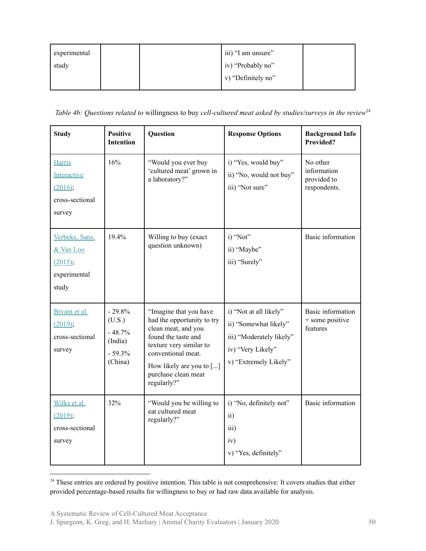| experimental |  | iii) "I am unsure" |  |
|--------------|--|--------------------|--|
| study        |  | iv) "Probably no"  |  |
|              |  | v) "Definitely no" |  |
|              |  |                    |  |

*Table 4b: Questions related to willingness to buy cell-cultured meat asked by studies/surveys in the review*<sup>24</sup>

| <b>Study</b>                                                         | <b>Positive</b><br><b>Intention</b>                              | Question                                                                                                                                                                                                                     | <b>Response Options</b>                                                                                                   | <b>Background Info</b><br><b>Provided?</b>             |
|----------------------------------------------------------------------|------------------------------------------------------------------|------------------------------------------------------------------------------------------------------------------------------------------------------------------------------------------------------------------------------|---------------------------------------------------------------------------------------------------------------------------|--------------------------------------------------------|
| <b>Harris</b><br>Interactive<br>(2016);<br>cross-sectional<br>survey | 16%                                                              | "Would you ever buy<br>'cultured meat' grown in<br>a laboratory?"                                                                                                                                                            | i) "Yes, would buy"<br>ii) "No, would not buy"<br>iii) "Not sure"                                                         | No other<br>information<br>provided to<br>respondents. |
| Verbeke, Sans.<br>& Van Loo<br>(2015);<br>experimental<br>study      | 19.4%                                                            | Willing to buy (exact<br>question unknown)                                                                                                                                                                                   | i) "Not"<br>ii) "Maybe"<br>iii) "Surely"                                                                                  | <b>Basic</b> information                               |
| Bryant et al.<br>(2019);<br>cross-sectional<br>survey                | $-29.8%$<br>(U.S.)<br>$-48.7%$<br>(India)<br>$-59.3%$<br>(China) | "Imagine that you have<br>had the opportunity to try<br>clean meat, and you<br>found the taste and<br>texture very similar to<br>conventional meat.<br>How likely are you to $[\dots]$<br>purchase clean meat<br>regularly?" | i) "Not at all likely"<br>ii) "Somewhat likely"<br>iii) "Moderately likely"<br>iv) "Very Likely"<br>v) "Extremely Likely" | Basic information<br>+ some positive<br>features       |
| Wilks et al.<br>(2019);<br>cross-sectional<br>survey                 | 32%                                                              | "Would you be willing to<br>eat cultured meat<br>regularly?"                                                                                                                                                                 | i) "No, definitely not"<br>ii)<br>iii)<br>iv)<br>v) "Yes, definitely"                                                     | Basic information                                      |

<sup>&</sup>lt;sup>24</sup> These entries are ordered by positive intention. This table is not comprehensive: It covers studies that either provided percentage-based results for willingness to buy or had raw data available for analysis.

J. Spurgeon, K. Greg, and H. Mazhary | Animal Charity Evaluators | January 2020 50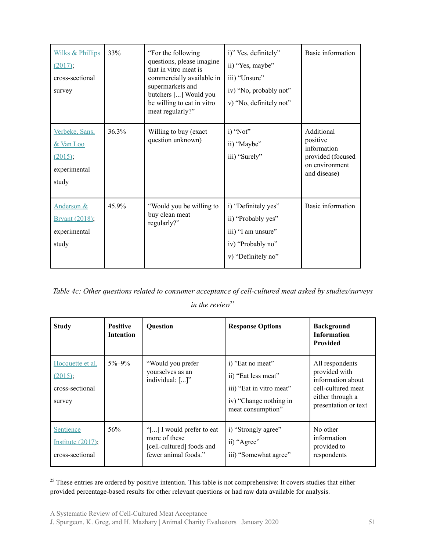| <b>Wilks &amp; Phillips</b><br>(2017);<br>cross-sectional<br>survey     | 33%   | "For the following"<br>questions, please imagine<br>that in vitro meat is<br>commercially available in<br>supermarkets and<br>butchers [] Would you<br>be willing to eat in vitro<br>meat regularly?" | i)" Yes, definitely"<br>ii) "Yes, maybe"<br>iii) "Unsure"<br>iv) "No, probably not"<br>v) "No, definitely not" | Basic information                                                                            |
|-------------------------------------------------------------------------|-------|-------------------------------------------------------------------------------------------------------------------------------------------------------------------------------------------------------|----------------------------------------------------------------------------------------------------------------|----------------------------------------------------------------------------------------------|
| Verbeke, Sans,<br>& Van Loo<br>(2015);<br>experimental<br>study         | 36.3% | Willing to buy (exact<br>question unknown)                                                                                                                                                            | i) "Not"<br>ii) "Maybe"<br>iii) "Surely"                                                                       | Additional<br>positive<br>information<br>provided (focused<br>on environment<br>and disease) |
| <b>Anderson &amp;</b><br><b>Bryant (2018);</b><br>experimental<br>study | 45.9% | "Would you be willing to<br>buy clean meat<br>regularly?"                                                                                                                                             | i) "Definitely yes"<br>ii) "Probably yes"<br>iii) "I am unsure"<br>iv) "Probably no"<br>v) "Definitely no"     | Basic information                                                                            |

*Table 4c: Other questions related to consumer acceptance of cell-cultured meat asked by studies/surveys in the review* 25

| <b>Study</b>                                                | <b>Positive</b><br><b>Intention</b> | <b>Question</b>                                                                                 | <b>Response Options</b>                                                                                            | <b>Background</b><br><b>Information</b><br><b>Provided</b>                                                              |
|-------------------------------------------------------------|-------------------------------------|-------------------------------------------------------------------------------------------------|--------------------------------------------------------------------------------------------------------------------|-------------------------------------------------------------------------------------------------------------------------|
| Hocquette et al.<br>$(2015)$ ;<br>cross-sectional<br>survey | $5\% - 9\%$                         | "Would you prefer<br>yourselves as an<br>individual: []"                                        | i) "Eat no meat"<br>ii) "Eat less meat"<br>iii) "Eat in vitro meat"<br>iv) "Change nothing in<br>meat consumption" | All respondents<br>provided with<br>information about<br>cell-cultured meat<br>either through a<br>presentation or text |
| <b>Sentience</b><br>Institute $(2017)$ ;<br>cross-sectional | 56%                                 | "[] I would prefer to eat<br>more of these<br>[cell-cultured] foods and<br>fewer animal foods." | i) "Strongly agree"<br>ii) "Agree"<br>iii) "Somewhat agree"                                                        | No other<br>information<br>provided to<br>respondents                                                                   |

<sup>&</sup>lt;sup>25</sup> These entries are ordered by positive intention. This table is not comprehensive: It covers studies that either provided percentage-based results for other relevant questions or had raw data available for analysis.

J. Spurgeon, K. Greg, and H. Mazhary | Animal Charity Evaluators | January 2020 51